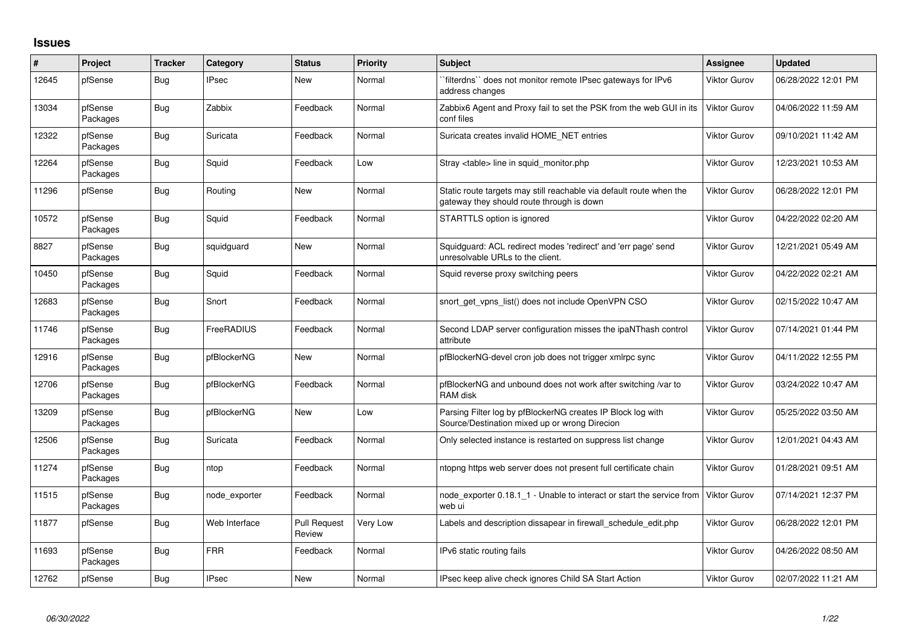## **Issues**

| #     | Project             | <b>Tracker</b> | Category      | <b>Status</b>                 | <b>Priority</b> | <b>Subject</b>                                                                                                   | <b>Assignee</b>     | <b>Updated</b>      |
|-------|---------------------|----------------|---------------|-------------------------------|-----------------|------------------------------------------------------------------------------------------------------------------|---------------------|---------------------|
| 12645 | pfSense             | Bug            | <b>IPsec</b>  | <b>New</b>                    | Normal          | `filterdns`` does not monitor remote IPsec gateways for IPv6<br>address changes                                  | Viktor Gurov        | 06/28/2022 12:01 PM |
| 13034 | pfSense<br>Packages | Bug            | Zabbix        | Feedback                      | Normal          | Zabbix6 Agent and Proxy fail to set the PSK from the web GUI in its<br>conf files                                | <b>Viktor Gurov</b> | 04/06/2022 11:59 AM |
| 12322 | pfSense<br>Packages | Bug            | Suricata      | Feedback                      | Normal          | Suricata creates invalid HOME_NET entries                                                                        | Viktor Gurov        | 09/10/2021 11:42 AM |
| 12264 | pfSense<br>Packages | <b>Bug</b>     | Squid         | Feedback                      | Low             | Stray <table> line in squid monitor.php</table>                                                                  | Viktor Gurov        | 12/23/2021 10:53 AM |
| 11296 | pfSense             | <b>Bug</b>     | Routing       | New                           | Normal          | Static route targets may still reachable via default route when the<br>gateway they should route through is down | <b>Viktor Gurov</b> | 06/28/2022 12:01 PM |
| 10572 | pfSense<br>Packages | <b>Bug</b>     | Squid         | Feedback                      | Normal          | STARTTLS option is ignored                                                                                       | Viktor Gurov        | 04/22/2022 02:20 AM |
| 8827  | pfSense<br>Packages | Bug            | squidguard    | <b>New</b>                    | Normal          | Squidguard: ACL redirect modes 'redirect' and 'err page' send<br>unresolvable URLs to the client.                | Viktor Gurov        | 12/21/2021 05:49 AM |
| 10450 | pfSense<br>Packages | <b>Bug</b>     | Squid         | Feedback                      | Normal          | Squid reverse proxy switching peers                                                                              | <b>Viktor Gurov</b> | 04/22/2022 02:21 AM |
| 12683 | pfSense<br>Packages | Bug            | Snort         | Feedback                      | Normal          | snort get vpns list() does not include OpenVPN CSO                                                               | Viktor Gurov        | 02/15/2022 10:47 AM |
| 11746 | pfSense<br>Packages | <b>Bug</b>     | FreeRADIUS    | Feedback                      | Normal          | Second LDAP server configuration misses the ipaNThash control<br>attribute                                       | <b>Viktor Gurov</b> | 07/14/2021 01:44 PM |
| 12916 | pfSense<br>Packages | <b>Bug</b>     | pfBlockerNG   | <b>New</b>                    | Normal          | pfBlockerNG-devel cron job does not trigger xmlrpc sync                                                          | Viktor Gurov        | 04/11/2022 12:55 PM |
| 12706 | pfSense<br>Packages | <b>Bug</b>     | pfBlockerNG   | Feedback                      | Normal          | pfBlockerNG and unbound does not work after switching /var to<br>RAM disk                                        | Viktor Gurov        | 03/24/2022 10:47 AM |
| 13209 | pfSense<br>Packages | <b>Bug</b>     | pfBlockerNG   | <b>New</b>                    | Low             | Parsing Filter log by pfBlockerNG creates IP Block log with<br>Source/Destination mixed up or wrong Direcion     | Viktor Gurov        | 05/25/2022 03:50 AM |
| 12506 | pfSense<br>Packages | <b>Bug</b>     | Suricata      | Feedback                      | Normal          | Only selected instance is restarted on suppress list change                                                      | Viktor Gurov        | 12/01/2021 04:43 AM |
| 11274 | pfSense<br>Packages | <b>Bug</b>     | ntop          | Feedback                      | Normal          | ntopng https web server does not present full certificate chain                                                  | Viktor Gurov        | 01/28/2021 09:51 AM |
| 11515 | pfSense<br>Packages | <b>Bug</b>     | node exporter | Feedback                      | Normal          | node exporter 0.18.1 1 - Unable to interact or start the service from<br>web ui                                  | Viktor Gurov        | 07/14/2021 12:37 PM |
| 11877 | pfSense             | <b>Bug</b>     | Web Interface | <b>Pull Request</b><br>Review | Very Low        | Labels and description dissapear in firewall schedule edit.php                                                   | Viktor Gurov        | 06/28/2022 12:01 PM |
| 11693 | pfSense<br>Packages | Bug            | <b>FRR</b>    | Feedback                      | Normal          | IPv6 static routing fails                                                                                        | Viktor Gurov        | 04/26/2022 08:50 AM |
| 12762 | pfSense             | <b>Bug</b>     | <b>IPsec</b>  | New                           | Normal          | IPsec keep alive check ignores Child SA Start Action                                                             | <b>Viktor Gurov</b> | 02/07/2022 11:21 AM |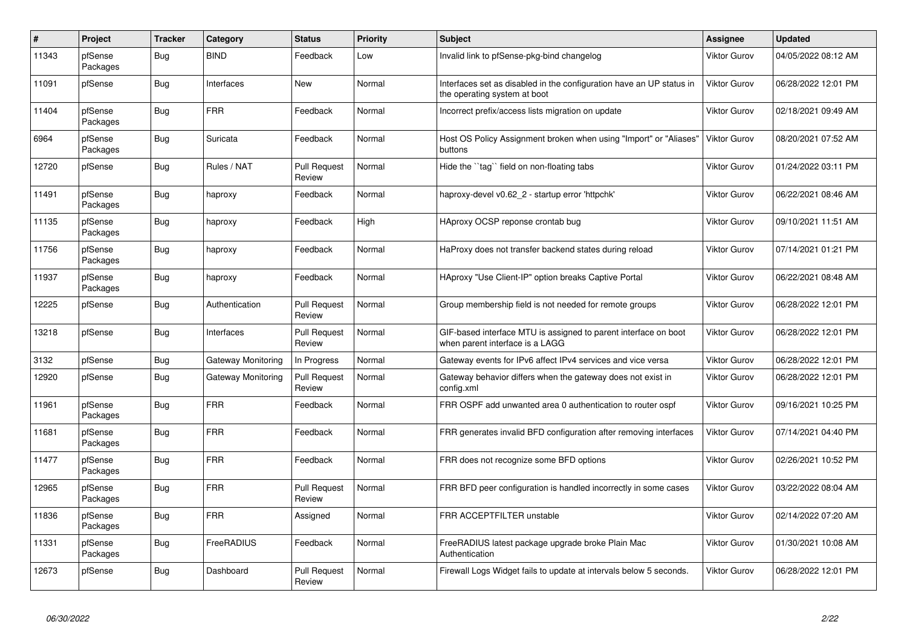| $\vert$ # | Project             | <b>Tracker</b> | Category           | <b>Status</b>                 | <b>Priority</b> | <b>Subject</b>                                                                                       | Assignee            | <b>Updated</b>      |
|-----------|---------------------|----------------|--------------------|-------------------------------|-----------------|------------------------------------------------------------------------------------------------------|---------------------|---------------------|
| 11343     | pfSense<br>Packages | Bug            | <b>BIND</b>        | Feedback                      | Low             | Invalid link to pfSense-pkg-bind changelog                                                           | <b>Viktor Gurov</b> | 04/05/2022 08:12 AM |
| 11091     | pfSense             | Bug            | Interfaces         | New                           | Normal          | Interfaces set as disabled in the configuration have an UP status in<br>the operating system at boot | <b>Viktor Gurov</b> | 06/28/2022 12:01 PM |
| 11404     | pfSense<br>Packages | <b>Bug</b>     | <b>FRR</b>         | Feedback                      | Normal          | Incorrect prefix/access lists migration on update                                                    | <b>Viktor Gurov</b> | 02/18/2021 09:49 AM |
| 6964      | pfSense<br>Packages | <b>Bug</b>     | Suricata           | Feedback                      | Normal          | Host OS Policy Assignment broken when using "Import" or "Aliases"<br>buttons                         | <b>Viktor Gurov</b> | 08/20/2021 07:52 AM |
| 12720     | pfSense             | Bug            | Rules / NAT        | <b>Pull Request</b><br>Review | Normal          | Hide the "tag" field on non-floating tabs                                                            | <b>Viktor Gurov</b> | 01/24/2022 03:11 PM |
| 11491     | pfSense<br>Packages | <b>Bug</b>     | haproxy            | Feedback                      | Normal          | haproxy-devel v0.62_2 - startup error 'httpchk'                                                      | <b>Viktor Gurov</b> | 06/22/2021 08:46 AM |
| 11135     | pfSense<br>Packages | Bug            | haproxy            | Feedback                      | High            | HAproxy OCSP reponse crontab bug                                                                     | <b>Viktor Gurov</b> | 09/10/2021 11:51 AM |
| 11756     | pfSense<br>Packages | Bug            | haproxy            | Feedback                      | Normal          | HaProxy does not transfer backend states during reload                                               | <b>Viktor Gurov</b> | 07/14/2021 01:21 PM |
| 11937     | pfSense<br>Packages | <b>Bug</b>     | haproxy            | Feedback                      | Normal          | HAproxy "Use Client-IP" option breaks Captive Portal                                                 | Viktor Gurov        | 06/22/2021 08:48 AM |
| 12225     | pfSense             | <b>Bug</b>     | Authentication     | <b>Pull Request</b><br>Review | Normal          | Group membership field is not needed for remote groups                                               | <b>Viktor Gurov</b> | 06/28/2022 12:01 PM |
| 13218     | pfSense             | Bug            | Interfaces         | <b>Pull Request</b><br>Review | Normal          | GIF-based interface MTU is assigned to parent interface on boot<br>when parent interface is a LAGG   | <b>Viktor Gurov</b> | 06/28/2022 12:01 PM |
| 3132      | pfSense             | Bug            | Gateway Monitoring | In Progress                   | Normal          | Gateway events for IPv6 affect IPv4 services and vice versa                                          | Viktor Gurov        | 06/28/2022 12:01 PM |
| 12920     | pfSense             | Bug            | Gateway Monitoring | <b>Pull Request</b><br>Review | Normal          | Gateway behavior differs when the gateway does not exist in<br>config.xml                            | <b>Viktor Gurov</b> | 06/28/2022 12:01 PM |
| 11961     | pfSense<br>Packages | <b>Bug</b>     | <b>FRR</b>         | Feedback                      | Normal          | FRR OSPF add unwanted area 0 authentication to router ospf                                           | Viktor Gurov        | 09/16/2021 10:25 PM |
| 11681     | pfSense<br>Packages | <b>Bug</b>     | <b>FRR</b>         | Feedback                      | Normal          | FRR generates invalid BFD configuration after removing interfaces                                    | <b>Viktor Gurov</b> | 07/14/2021 04:40 PM |
| 11477     | pfSense<br>Packages | Bug            | <b>FRR</b>         | Feedback                      | Normal          | FRR does not recognize some BFD options                                                              | <b>Viktor Gurov</b> | 02/26/2021 10:52 PM |
| 12965     | pfSense<br>Packages | Bug            | <b>FRR</b>         | <b>Pull Request</b><br>Review | Normal          | FRR BFD peer configuration is handled incorrectly in some cases                                      | Viktor Gurov        | 03/22/2022 08:04 AM |
| 11836     | pfSense<br>Packages | <b>Bug</b>     | <b>FRR</b>         | Assigned                      | Normal          | FRR ACCEPTFILTER unstable                                                                            | <b>Viktor Gurov</b> | 02/14/2022 07:20 AM |
| 11331     | pfSense<br>Packages | Bug            | FreeRADIUS         | Feedback                      | Normal          | FreeRADIUS latest package upgrade broke Plain Mac<br>Authentication                                  | <b>Viktor Gurov</b> | 01/30/2021 10:08 AM |
| 12673     | pfSense             | Bug            | Dashboard          | <b>Pull Request</b><br>Review | Normal          | Firewall Logs Widget fails to update at intervals below 5 seconds.                                   | Viktor Gurov        | 06/28/2022 12:01 PM |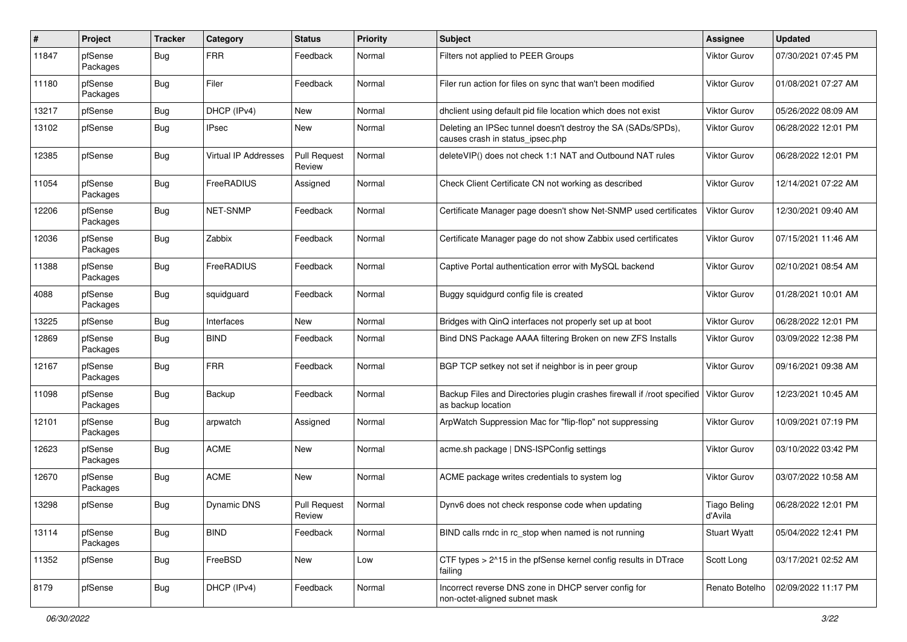| #     | Project             | <b>Tracker</b> | Category                    | <b>Status</b>                 | <b>Priority</b> | Subject                                                                                          | <b>Assignee</b>                | <b>Updated</b>      |
|-------|---------------------|----------------|-----------------------------|-------------------------------|-----------------|--------------------------------------------------------------------------------------------------|--------------------------------|---------------------|
| 11847 | pfSense<br>Packages | Bug            | <b>FRR</b>                  | Feedback                      | Normal          | Filters not applied to PEER Groups                                                               | Viktor Gurov                   | 07/30/2021 07:45 PM |
| 11180 | pfSense<br>Packages | <b>Bug</b>     | Filer                       | Feedback                      | Normal          | Filer run action for files on sync that wan't been modified                                      | Viktor Gurov                   | 01/08/2021 07:27 AM |
| 13217 | pfSense             | <b>Bug</b>     | DHCP (IPv4)                 | <b>New</b>                    | Normal          | dhclient using default pid file location which does not exist                                    | <b>Viktor Gurov</b>            | 05/26/2022 08:09 AM |
| 13102 | pfSense             | <b>Bug</b>     | IPsec                       | New                           | Normal          | Deleting an IPSec tunnel doesn't destroy the SA (SADs/SPDs),<br>causes crash in status_ipsec.php | Viktor Gurov                   | 06/28/2022 12:01 PM |
| 12385 | pfSense             | Bug            | <b>Virtual IP Addresses</b> | <b>Pull Request</b><br>Review | Normal          | deleteVIP() does not check 1:1 NAT and Outbound NAT rules                                        | <b>Viktor Gurov</b>            | 06/28/2022 12:01 PM |
| 11054 | pfSense<br>Packages | <b>Bug</b>     | FreeRADIUS                  | Assigned                      | Normal          | Check Client Certificate CN not working as described                                             | <b>Viktor Gurov</b>            | 12/14/2021 07:22 AM |
| 12206 | pfSense<br>Packages | <b>Bug</b>     | <b>NET-SNMP</b>             | Feedback                      | Normal          | Certificate Manager page doesn't show Net-SNMP used certificates                                 | <b>Viktor Gurov</b>            | 12/30/2021 09:40 AM |
| 12036 | pfSense<br>Packages | <b>Bug</b>     | Zabbix                      | Feedback                      | Normal          | Certificate Manager page do not show Zabbix used certificates                                    | Viktor Gurov                   | 07/15/2021 11:46 AM |
| 11388 | pfSense<br>Packages | <b>Bug</b>     | FreeRADIUS                  | Feedback                      | Normal          | Captive Portal authentication error with MySQL backend                                           | Viktor Gurov                   | 02/10/2021 08:54 AM |
| 4088  | pfSense<br>Packages | <b>Bug</b>     | squidguard                  | Feedback                      | Normal          | Buggy squidgurd config file is created                                                           | <b>Viktor Gurov</b>            | 01/28/2021 10:01 AM |
| 13225 | pfSense             | Bug            | Interfaces                  | New                           | Normal          | Bridges with QinQ interfaces not properly set up at boot                                         | <b>Viktor Gurov</b>            | 06/28/2022 12:01 PM |
| 12869 | pfSense<br>Packages | <b>Bug</b>     | <b>BIND</b>                 | Feedback                      | Normal          | Bind DNS Package AAAA filtering Broken on new ZFS Installs                                       | Viktor Gurov                   | 03/09/2022 12:38 PM |
| 12167 | pfSense<br>Packages | <b>Bug</b>     | <b>FRR</b>                  | Feedback                      | Normal          | BGP TCP setkey not set if neighbor is in peer group                                              | <b>Viktor Gurov</b>            | 09/16/2021 09:38 AM |
| 11098 | pfSense<br>Packages | <b>Bug</b>     | Backup                      | Feedback                      | Normal          | Backup Files and Directories plugin crashes firewall if /root specified<br>as backup location    | <b>Viktor Gurov</b>            | 12/23/2021 10:45 AM |
| 12101 | pfSense<br>Packages | <b>Bug</b>     | arpwatch                    | Assigned                      | Normal          | ArpWatch Suppression Mac for "flip-flop" not suppressing                                         | <b>Viktor Gurov</b>            | 10/09/2021 07:19 PM |
| 12623 | pfSense<br>Packages | <b>Bug</b>     | <b>ACME</b>                 | New                           | Normal          | acme.sh package   DNS-ISPConfig settings                                                         | Viktor Gurov                   | 03/10/2022 03:42 PM |
| 12670 | pfSense<br>Packages | Bug            | <b>ACME</b>                 | New                           | Normal          | ACME package writes credentials to system log                                                    | Viktor Gurov                   | 03/07/2022 10:58 AM |
| 13298 | pfSense             | Bug            | Dynamic DNS                 | Pull Request<br>Review        | Normal          | Dynv6 does not check response code when updating                                                 | <b>Tiago Beling</b><br>d'Avila | 06/28/2022 12:01 PM |
| 13114 | pfSense<br>Packages | <b>Bug</b>     | <b>BIND</b>                 | Feedback                      | Normal          | BIND calls rndc in rc_stop when named is not running                                             | <b>Stuart Wyatt</b>            | 05/04/2022 12:41 PM |
| 11352 | pfSense             | <b>Bug</b>     | FreeBSD                     | New                           | Low             | CTF types > 2^15 in the pfSense kernel config results in DTrace<br>failing                       | Scott Long                     | 03/17/2021 02:52 AM |
| 8179  | pfSense             | <b>Bug</b>     | DHCP (IPv4)                 | Feedback                      | Normal          | Incorrect reverse DNS zone in DHCP server config for<br>non-octet-aligned subnet mask            | Renato Botelho                 | 02/09/2022 11:17 PM |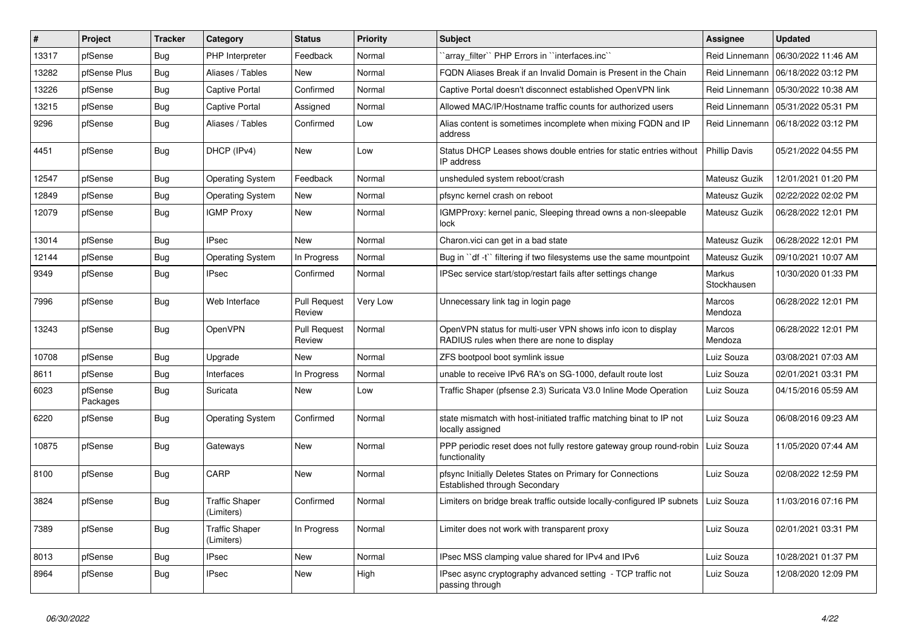| #     | Project             | <b>Tracker</b> | Category                            | <b>Status</b>                 | <b>Priority</b> | <b>Subject</b>                                                                                              | <b>Assignee</b>              | <b>Updated</b>      |
|-------|---------------------|----------------|-------------------------------------|-------------------------------|-----------------|-------------------------------------------------------------------------------------------------------------|------------------------------|---------------------|
| 13317 | pfSense             | <b>Bug</b>     | PHP Interpreter                     | Feedback                      | Normal          | `array filter`` PHP Errors in ``interfaces.inc``                                                            | Reid Linnemann               | 06/30/2022 11:46 AM |
| 13282 | pfSense Plus        | <b>Bug</b>     | Aliases / Tables                    | <b>New</b>                    | Normal          | FQDN Aliases Break if an Invalid Domain is Present in the Chain                                             | Reid Linnemann               | 06/18/2022 03:12 PM |
| 13226 | pfSense             | <b>Bug</b>     | <b>Captive Portal</b>               | Confirmed                     | Normal          | Captive Portal doesn't disconnect established OpenVPN link                                                  | Reid Linnemann               | 05/30/2022 10:38 AM |
| 13215 | pfSense             | <b>Bug</b>     | <b>Captive Portal</b>               | Assigned                      | Normal          | Allowed MAC/IP/Hostname traffic counts for authorized users                                                 | Reid Linnemann               | 05/31/2022 05:31 PM |
| 9296  | pfSense             | Bug            | Aliases / Tables                    | Confirmed                     | Low             | Alias content is sometimes incomplete when mixing FQDN and IP<br>address                                    | Reid Linnemann               | 06/18/2022 03:12 PM |
| 4451  | pfSense             | Bug            | DHCP (IPv4)                         | <b>New</b>                    | Low             | Status DHCP Leases shows double entries for static entries without<br>IP address                            | <b>Phillip Davis</b>         | 05/21/2022 04:55 PM |
| 12547 | pfSense             | <b>Bug</b>     | <b>Operating System</b>             | Feedback                      | Normal          | unsheduled system reboot/crash                                                                              | Mateusz Guzik                | 12/01/2021 01:20 PM |
| 12849 | pfSense             | Bug            | <b>Operating System</b>             | New                           | Normal          | pfsync kernel crash on reboot                                                                               | Mateusz Guzik                | 02/22/2022 02:02 PM |
| 12079 | pfSense             | <b>Bug</b>     | <b>IGMP Proxy</b>                   | <b>New</b>                    | Normal          | IGMPProxy: kernel panic, Sleeping thread owns a non-sleepable<br>lock                                       | Mateusz Guzik                | 06/28/2022 12:01 PM |
| 13014 | pfSense             | <b>Bug</b>     | <b>IPsec</b>                        | <b>New</b>                    | Normal          | Charon. vici can get in a bad state                                                                         | Mateusz Guzik                | 06/28/2022 12:01 PM |
| 12144 | pfSense             | Bug            | <b>Operating System</b>             | In Progress                   | Normal          | Bug in "df -t" filtering if two filesystems use the same mountpoint                                         | Mateusz Guzik                | 09/10/2021 10:07 AM |
| 9349  | pfSense             | <b>Bug</b>     | <b>IPsec</b>                        | Confirmed                     | Normal          | IPSec service start/stop/restart fails after settings change                                                | <b>Markus</b><br>Stockhausen | 10/30/2020 01:33 PM |
| 7996  | pfSense             | Bug            | Web Interface                       | Pull Request<br>Review        | Very Low        | Unnecessary link tag in login page                                                                          | Marcos<br>Mendoza            | 06/28/2022 12:01 PM |
| 13243 | pfSense             | <b>Bug</b>     | OpenVPN                             | <b>Pull Request</b><br>Review | Normal          | OpenVPN status for multi-user VPN shows info icon to display<br>RADIUS rules when there are none to display | Marcos<br>Mendoza            | 06/28/2022 12:01 PM |
| 10708 | pfSense             | <b>Bug</b>     | Upgrade                             | <b>New</b>                    | Normal          | ZFS bootpool boot symlink issue                                                                             | Luiz Souza                   | 03/08/2021 07:03 AM |
| 8611  | pfSense             | <b>Bug</b>     | Interfaces                          | In Progress                   | Normal          | unable to receive IPv6 RA's on SG-1000, default route lost                                                  | Luiz Souza                   | 02/01/2021 03:31 PM |
| 6023  | pfSense<br>Packages | Bug            | Suricata                            | <b>New</b>                    | Low             | Traffic Shaper (pfsense 2.3) Suricata V3.0 Inline Mode Operation                                            | Luiz Souza                   | 04/15/2016 05:59 AM |
| 6220  | pfSense             | <b>Bug</b>     | <b>Operating System</b>             | Confirmed                     | Normal          | state mismatch with host-initiated traffic matching binat to IP not<br>locally assigned                     | Luiz Souza                   | 06/08/2016 09:23 AM |
| 10875 | pfSense             | <b>Bug</b>     | Gateways                            | New                           | Normal          | PPP periodic reset does not fully restore gateway group round-robin<br>functionality                        | Luiz Souza                   | 11/05/2020 07:44 AM |
| 8100  | pfSense             | <b>Bug</b>     | CARP                                | <b>New</b>                    | Normal          | pfsync Initially Deletes States on Primary for Connections<br>Established through Secondary                 | Luiz Souza                   | 02/08/2022 12:59 PM |
| 3824  | pfSense             | <b>Bug</b>     | <b>Traffic Shaper</b><br>(Limiters) | Confirmed                     | Normal          | Limiters on bridge break traffic outside locally-configured IP subnets                                      | Luiz Souza                   | 11/03/2016 07:16 PM |
| 7389  | pfSense             | <b>Bug</b>     | <b>Traffic Shaper</b><br>(Limiters) | In Progress                   | Normal          | Limiter does not work with transparent proxy                                                                | Luiz Souza                   | 02/01/2021 03:31 PM |
| 8013  | pfSense             | <b>Bug</b>     | <b>IPsec</b>                        | <b>New</b>                    | Normal          | IPsec MSS clamping value shared for IPv4 and IPv6                                                           | Luiz Souza                   | 10/28/2021 01:37 PM |
| 8964  | pfSense             | <b>Bug</b>     | <b>IPsec</b>                        | New                           | High            | IPsec async cryptography advanced setting - TCP traffic not<br>passing through                              | Luiz Souza                   | 12/08/2020 12:09 PM |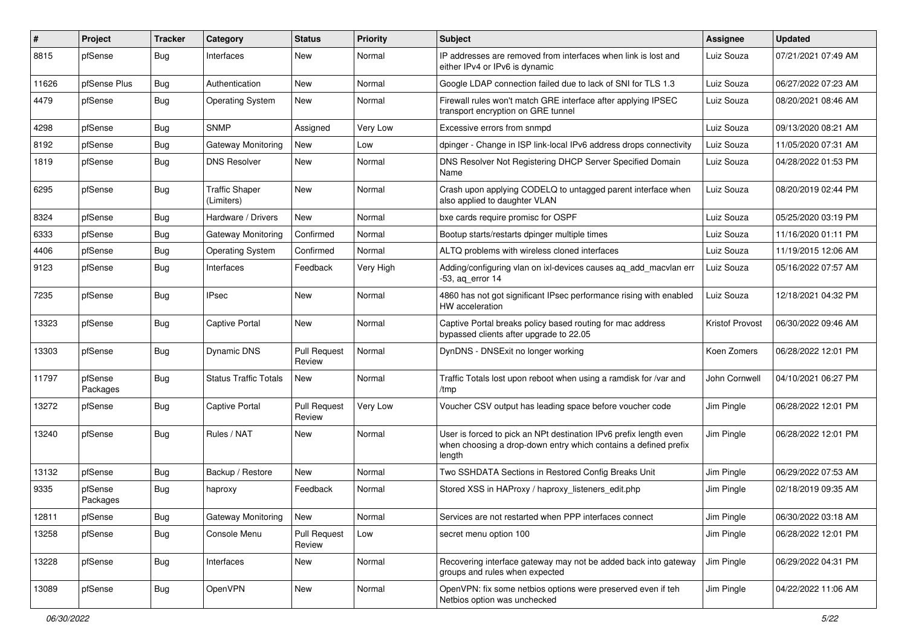| #     | Project             | <b>Tracker</b> | Category                            | <b>Status</b>                 | <b>Priority</b> | <b>Subject</b>                                                                                                                                 | <b>Assignee</b> | <b>Updated</b>      |
|-------|---------------------|----------------|-------------------------------------|-------------------------------|-----------------|------------------------------------------------------------------------------------------------------------------------------------------------|-----------------|---------------------|
| 8815  | pfSense             | <b>Bug</b>     | Interfaces                          | New                           | Normal          | IP addresses are removed from interfaces when link is lost and<br>either IPv4 or IPv6 is dynamic                                               | Luiz Souza      | 07/21/2021 07:49 AM |
| 11626 | pfSense Plus        | Bug            | Authentication                      | New                           | Normal          | Google LDAP connection failed due to lack of SNI for TLS 1.3                                                                                   | Luiz Souza      | 06/27/2022 07:23 AM |
| 4479  | pfSense             | Bug            | <b>Operating System</b>             | New                           | Normal          | Firewall rules won't match GRE interface after applying IPSEC<br>transport encryption on GRE tunnel                                            | Luiz Souza      | 08/20/2021 08:46 AM |
| 4298  | pfSense             | Bug            | <b>SNMP</b>                         | Assigned                      | Very Low        | Excessive errors from snmpd                                                                                                                    | Luiz Souza      | 09/13/2020 08:21 AM |
| 8192  | pfSense             | <b>Bug</b>     | Gateway Monitoring                  | New                           | Low             | dpinger - Change in ISP link-local IPv6 address drops connectivity                                                                             | Luiz Souza      | 11/05/2020 07:31 AM |
| 1819  | pfSense             | <b>Bug</b>     | <b>DNS Resolver</b>                 | <b>New</b>                    | Normal          | DNS Resolver Not Registering DHCP Server Specified Domain<br>Name                                                                              | Luiz Souza      | 04/28/2022 01:53 PM |
| 6295  | pfSense             | <b>Bug</b>     | <b>Traffic Shaper</b><br>(Limiters) | <b>New</b>                    | Normal          | Crash upon applying CODELQ to untagged parent interface when<br>also applied to daughter VLAN                                                  | Luiz Souza      | 08/20/2019 02:44 PM |
| 8324  | pfSense             | <b>Bug</b>     | Hardware / Drivers                  | <b>New</b>                    | Normal          | bxe cards require promisc for OSPF                                                                                                             | Luiz Souza      | 05/25/2020 03:19 PM |
| 6333  | pfSense             | <b>Bug</b>     | Gateway Monitoring                  | Confirmed                     | Normal          | Bootup starts/restarts dpinger multiple times                                                                                                  | Luiz Souza      | 11/16/2020 01:11 PM |
| 4406  | pfSense             | Bug            | <b>Operating System</b>             | Confirmed                     | Normal          | ALTQ problems with wireless cloned interfaces                                                                                                  | Luiz Souza      | 11/19/2015 12:06 AM |
| 9123  | pfSense             | Bug            | Interfaces                          | Feedback                      | Very High       | Adding/configuring vlan on ixl-devices causes ag add macvlan err<br>-53, ag error 14                                                           | Luiz Souza      | 05/16/2022 07:57 AM |
| 7235  | pfSense             | <b>Bug</b>     | <b>IPsec</b>                        | New                           | Normal          | 4860 has not got significant IPsec performance rising with enabled<br>HW acceleration                                                          | Luiz Souza      | 12/18/2021 04:32 PM |
| 13323 | pfSense             | <b>Bug</b>     | Captive Portal                      | <b>New</b>                    | Normal          | Captive Portal breaks policy based routing for mac address<br>bypassed clients after upgrade to 22.05                                          | Kristof Provost | 06/30/2022 09:46 AM |
| 13303 | pfSense             | <b>Bug</b>     | <b>Dynamic DNS</b>                  | <b>Pull Request</b><br>Review | Normal          | DynDNS - DNSExit no longer working                                                                                                             | Koen Zomers     | 06/28/2022 12:01 PM |
| 11797 | pfSense<br>Packages | <b>Bug</b>     | <b>Status Traffic Totals</b>        | New                           | Normal          | Traffic Totals lost upon reboot when using a ramdisk for /var and<br>/tmp                                                                      | John Cornwell   | 04/10/2021 06:27 PM |
| 13272 | pfSense             | <b>Bug</b>     | <b>Captive Portal</b>               | <b>Pull Request</b><br>Review | Very Low        | Voucher CSV output has leading space before voucher code                                                                                       | Jim Pingle      | 06/28/2022 12:01 PM |
| 13240 | pfSense             | <b>Bug</b>     | Rules / NAT                         | <b>New</b>                    | Normal          | User is forced to pick an NPt destination IPv6 prefix length even<br>when choosing a drop-down entry which contains a defined prefix<br>length | Jim Pingle      | 06/28/2022 12:01 PM |
| 13132 | pfSense             | <b>Bug</b>     | Backup / Restore                    | <b>New</b>                    | Normal          | Two SSHDATA Sections in Restored Config Breaks Unit                                                                                            | Jim Pingle      | 06/29/2022 07:53 AM |
| 9335  | pfSense<br>Packages | <b>Bug</b>     | haproxy                             | Feedback                      | Normal          | Stored XSS in HAProxy / haproxy listeners edit.php                                                                                             | Jim Pingle      | 02/18/2019 09:35 AM |
| 12811 | pfSense             | <b>Bug</b>     | Gateway Monitoring                  | New                           | Normal          | Services are not restarted when PPP interfaces connect                                                                                         | Jim Pingle      | 06/30/2022 03:18 AM |
| 13258 | pfSense             | <b>Bug</b>     | Console Menu                        | <b>Pull Request</b><br>Review | Low             | secret menu option 100                                                                                                                         | Jim Pingle      | 06/28/2022 12:01 PM |
| 13228 | pfSense             | <b>Bug</b>     | Interfaces                          | New                           | Normal          | Recovering interface gateway may not be added back into gateway<br>groups and rules when expected                                              | Jim Pingle      | 06/29/2022 04:31 PM |
| 13089 | pfSense             | <b>Bug</b>     | OpenVPN                             | New                           | Normal          | OpenVPN: fix some netbios options were preserved even if teh<br>Netbios option was unchecked                                                   | Jim Pingle      | 04/22/2022 11:06 AM |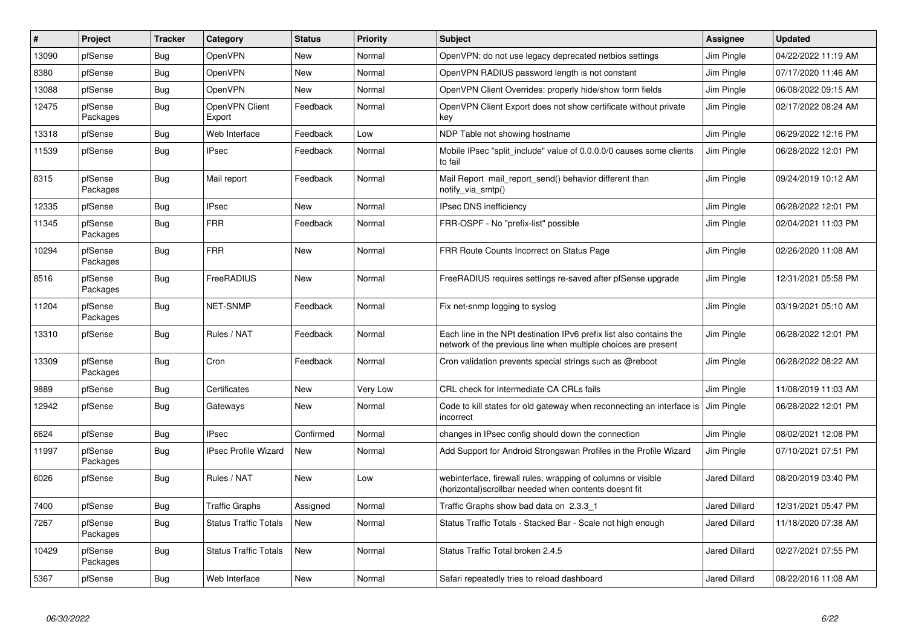| ∦     | Project             | <b>Tracker</b> | Category                     | <b>Status</b> | Priority | <b>Subject</b>                                                                                                                        | <b>Assignee</b>      | <b>Updated</b>      |
|-------|---------------------|----------------|------------------------------|---------------|----------|---------------------------------------------------------------------------------------------------------------------------------------|----------------------|---------------------|
| 13090 | pfSense             | Bug            | OpenVPN                      | New           | Normal   | OpenVPN: do not use legacy deprecated netbios settings                                                                                | Jim Pingle           | 04/22/2022 11:19 AM |
| 8380  | pfSense             | <b>Bug</b>     | OpenVPN                      | New           | Normal   | OpenVPN RADIUS password length is not constant                                                                                        | Jim Pingle           | 07/17/2020 11:46 AM |
| 13088 | pfSense             | <b>Bug</b>     | <b>OpenVPN</b>               | New           | Normal   | OpenVPN Client Overrides: properly hide/show form fields                                                                              | Jim Pingle           | 06/08/2022 09:15 AM |
| 12475 | pfSense<br>Packages | <b>Bug</b>     | OpenVPN Client<br>Export     | Feedback      | Normal   | OpenVPN Client Export does not show certificate without private<br>key                                                                | Jim Pingle           | 02/17/2022 08:24 AM |
| 13318 | pfSense             | <b>Bug</b>     | Web Interface                | Feedback      | Low      | NDP Table not showing hostname                                                                                                        | Jim Pingle           | 06/29/2022 12:16 PM |
| 11539 | pfSense             | Bug            | <b>IPsec</b>                 | Feedback      | Normal   | Mobile IPsec "split_include" value of 0.0.0.0/0 causes some clients<br>to fail                                                        | Jim Pingle           | 06/28/2022 12:01 PM |
| 8315  | pfSense<br>Packages | Bug            | Mail report                  | Feedback      | Normal   | Mail Report mail report send() behavior different than<br>notify_via_smtp()                                                           | Jim Pingle           | 09/24/2019 10:12 AM |
| 12335 | pfSense             | Bug            | <b>IPsec</b>                 | <b>New</b>    | Normal   | <b>IPsec DNS inefficiency</b>                                                                                                         | Jim Pingle           | 06/28/2022 12:01 PM |
| 11345 | pfSense<br>Packages | <b>Bug</b>     | <b>FRR</b>                   | Feedback      | Normal   | FRR-OSPF - No "prefix-list" possible                                                                                                  | Jim Pingle           | 02/04/2021 11:03 PM |
| 10294 | pfSense<br>Packages | <b>Bug</b>     | <b>FRR</b>                   | <b>New</b>    | Normal   | FRR Route Counts Incorrect on Status Page                                                                                             | Jim Pingle           | 02/26/2020 11:08 AM |
| 8516  | pfSense<br>Packages | Bug            | FreeRADIUS                   | <b>New</b>    | Normal   | FreeRADIUS requires settings re-saved after pfSense upgrade                                                                           | Jim Pingle           | 12/31/2021 05:58 PM |
| 11204 | pfSense<br>Packages | <b>Bug</b>     | NET-SNMP                     | Feedback      | Normal   | Fix net-snmp logging to syslog                                                                                                        | Jim Pingle           | 03/19/2021 05:10 AM |
| 13310 | pfSense             | <b>Bug</b>     | Rules / NAT                  | Feedback      | Normal   | Each line in the NPt destination IPv6 prefix list also contains the<br>network of the previous line when multiple choices are present | Jim Pingle           | 06/28/2022 12:01 PM |
| 13309 | pfSense<br>Packages | Bug            | Cron                         | Feedback      | Normal   | Cron validation prevents special strings such as @reboot                                                                              | Jim Pingle           | 06/28/2022 08:22 AM |
| 9889  | pfSense             | Bug            | Certificates                 | <b>New</b>    | Very Low | CRL check for Intermediate CA CRLs fails                                                                                              | Jim Pingle           | 11/08/2019 11:03 AM |
| 12942 | pfSense             | <b>Bug</b>     | Gateways                     | New           | Normal   | Code to kill states for old gateway when reconnecting an interface is<br>incorrect                                                    | Jim Pingle           | 06/28/2022 12:01 PM |
| 6624  | pfSense             | <b>Bug</b>     | <b>IPsec</b>                 | Confirmed     | Normal   | changes in IPsec config should down the connection                                                                                    | Jim Pingle           | 08/02/2021 12:08 PM |
| 11997 | pfSense<br>Packages | Bug            | <b>IPsec Profile Wizard</b>  | New           | Normal   | Add Support for Android Strongswan Profiles in the Profile Wizard                                                                     | Jim Pingle           | 07/10/2021 07:51 PM |
| 6026  | pfSense             | <b>Bug</b>     | Rules / NAT                  | <b>New</b>    | Low      | webinterface, firewall rules, wrapping of columns or visible<br>(horizontal) scrollbar needed when contents doesnt fit                | Jared Dillard        | 08/20/2019 03:40 PM |
| 7400  | pfSense             | Bug            | <b>Traffic Graphs</b>        | Assigned      | Normal   | Traffic Graphs show bad data on 2.3.3 1                                                                                               | Jared Dillard        | 12/31/2021 05:47 PM |
| 7267  | pfSense<br>Packages | <b>Bug</b>     | <b>Status Traffic Totals</b> | New           | Normal   | Status Traffic Totals - Stacked Bar - Scale not high enough                                                                           | <b>Jared Dillard</b> | 11/18/2020 07:38 AM |
| 10429 | pfSense<br>Packages | Bug            | <b>Status Traffic Totals</b> | New           | Normal   | Status Traffic Total broken 2.4.5                                                                                                     | Jared Dillard        | 02/27/2021 07:55 PM |
| 5367  | pfSense             | <b>Bug</b>     | Web Interface                | New           | Normal   | Safari repeatedly tries to reload dashboard                                                                                           | Jared Dillard        | 08/22/2016 11:08 AM |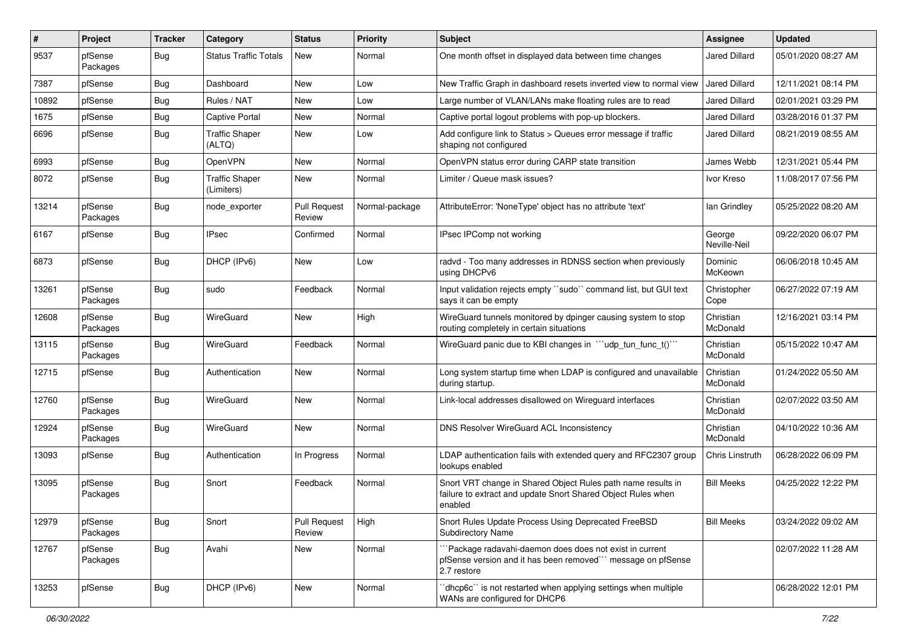| #     | Project             | <b>Tracker</b> | Category                            | <b>Status</b>                 | Priority       | <b>Subject</b>                                                                                                                          | <b>Assignee</b>        | <b>Updated</b>      |
|-------|---------------------|----------------|-------------------------------------|-------------------------------|----------------|-----------------------------------------------------------------------------------------------------------------------------------------|------------------------|---------------------|
| 9537  | pfSense<br>Packages | <b>Bug</b>     | <b>Status Traffic Totals</b>        | New                           | Normal         | One month offset in displayed data between time changes                                                                                 | Jared Dillard          | 05/01/2020 08:27 AM |
| 7387  | pfSense             | Bug            | Dashboard                           | <b>New</b>                    | Low            | New Traffic Graph in dashboard resets inverted view to normal view                                                                      | <b>Jared Dillard</b>   | 12/11/2021 08:14 PM |
| 10892 | pfSense             | Bug            | Rules / NAT                         | <b>New</b>                    | Low            | Large number of VLAN/LANs make floating rules are to read                                                                               | <b>Jared Dillard</b>   | 02/01/2021 03:29 PM |
| 1675  | pfSense             | Bug            | Captive Portal                      | <b>New</b>                    | Normal         | Captive portal logout problems with pop-up blockers.                                                                                    | Jared Dillard          | 03/28/2016 01:37 PM |
| 6696  | pfSense             | <b>Bug</b>     | <b>Traffic Shaper</b><br>(ALTQ)     | <b>New</b>                    | Low            | Add configure link to Status > Queues error message if traffic<br>shaping not configured                                                | Jared Dillard          | 08/21/2019 08:55 AM |
| 6993  | pfSense             | Bug            | OpenVPN                             | <b>New</b>                    | Normal         | OpenVPN status error during CARP state transition                                                                                       | James Webb             | 12/31/2021 05:44 PM |
| 8072  | pfSense             | Bug            | <b>Traffic Shaper</b><br>(Limiters) | <b>New</b>                    | Normal         | Limiter / Queue mask issues?                                                                                                            | Ivor Kreso             | 11/08/2017 07:56 PM |
| 13214 | pfSense<br>Packages | <b>Bug</b>     | node exporter                       | <b>Pull Request</b><br>Review | Normal-package | AttributeError: 'NoneType' object has no attribute 'text'                                                                               | lan Grindley           | 05/25/2022 08:20 AM |
| 6167  | pfSense             | <b>Bug</b>     | <b>IPsec</b>                        | Confirmed                     | Normal         | IPsec IPComp not working                                                                                                                | George<br>Neville-Neil | 09/22/2020 06:07 PM |
| 6873  | pfSense             | <b>Bug</b>     | DHCP (IPv6)                         | <b>New</b>                    | Low            | radvd - Too many addresses in RDNSS section when previously<br>using DHCPv6                                                             | Dominic<br>McKeown     | 06/06/2018 10:45 AM |
| 13261 | pfSense<br>Packages | <b>Bug</b>     | sudo                                | Feedback                      | Normal         | Input validation rejects empty "sudo" command list, but GUI text<br>says it can be empty                                                | Christopher<br>Cope    | 06/27/2022 07:19 AM |
| 12608 | pfSense<br>Packages | <b>Bug</b>     | WireGuard                           | New                           | High           | WireGuard tunnels monitored by dpinger causing system to stop<br>routing completely in certain situations                               | Christian<br>McDonald  | 12/16/2021 03:14 PM |
| 13115 | pfSense<br>Packages | <b>Bug</b>     | WireGuard                           | Feedback                      | Normal         | WireGuard panic due to KBI changes in "'udp_tun_func_t()'"                                                                              | Christian<br>McDonald  | 05/15/2022 10:47 AM |
| 12715 | pfSense             | Bug            | Authentication                      | <b>New</b>                    | Normal         | Long system startup time when LDAP is configured and unavailable<br>during startup.                                                     | Christian<br>McDonald  | 01/24/2022 05:50 AM |
| 12760 | pfSense<br>Packages | <b>Bug</b>     | WireGuard                           | <b>New</b>                    | Normal         | Link-local addresses disallowed on Wireguard interfaces                                                                                 | Christian<br>McDonald  | 02/07/2022 03:50 AM |
| 12924 | pfSense<br>Packages | <b>Bug</b>     | WireGuard                           | New                           | Normal         | DNS Resolver WireGuard ACL Inconsistency                                                                                                | Christian<br>McDonald  | 04/10/2022 10:36 AM |
| 13093 | pfSense             | <b>Bug</b>     | Authentication                      | In Progress                   | Normal         | LDAP authentication fails with extended query and RFC2307 group<br>lookups enabled                                                      | Chris Linstruth        | 06/28/2022 06:09 PM |
| 13095 | pfSense<br>Packages | <b>Bug</b>     | Snort                               | Feedback                      | Normal         | Snort VRT change in Shared Object Rules path name results in<br>failure to extract and update Snort Shared Object Rules when<br>enabled | <b>Bill Meeks</b>      | 04/25/2022 12:22 PM |
| 12979 | pfSense<br>Packages | i Bug          | Snort                               | Pull Request<br>Review        | High           | Snort Rules Update Process Using Deprecated FreeBSD<br><b>Subdirectory Name</b>                                                         | <b>Bill Meeks</b>      | 03/24/2022 09:02 AM |
| 12767 | pfSense<br>Packages | Bug            | Avahi                               | New                           | Normal         | "Package radavahi-daemon does does not exist in current<br>pfSense version and it has been removed" message on pfSense<br>2.7 restore   |                        | 02/07/2022 11:28 AM |
| 13253 | pfSense             | <b>Bug</b>     | DHCP (IPv6)                         | New                           | Normal         | dhcp6c" is not restarted when applying settings when multiple<br>WANs are configured for DHCP6                                          |                        | 06/28/2022 12:01 PM |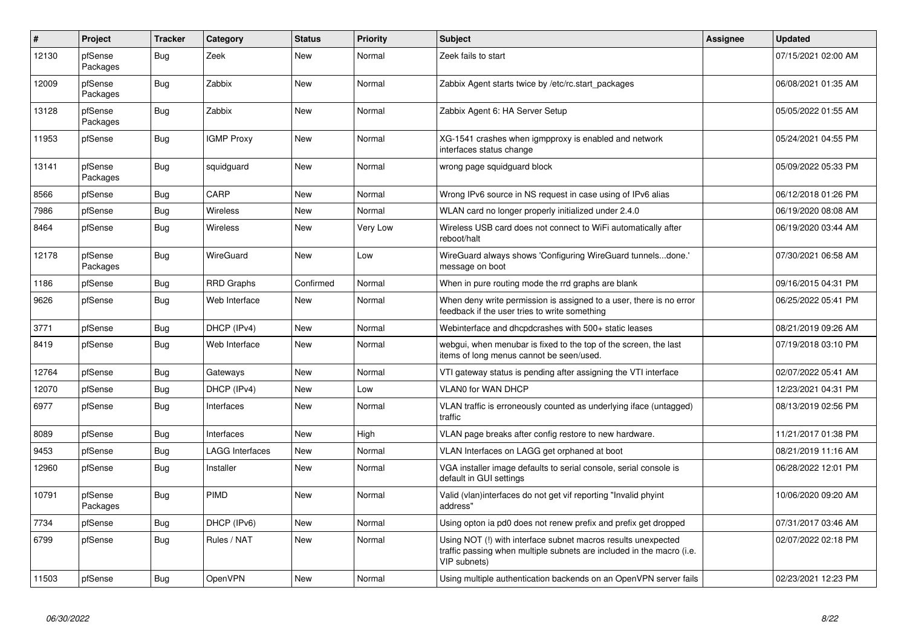| $\vert$ # | Project             | <b>Tracker</b> | Category               | <b>Status</b> | <b>Priority</b> | <b>Subject</b>                                                                                                                                         | <b>Assignee</b> | <b>Updated</b>      |
|-----------|---------------------|----------------|------------------------|---------------|-----------------|--------------------------------------------------------------------------------------------------------------------------------------------------------|-----------------|---------------------|
| 12130     | pfSense<br>Packages | <b>Bug</b>     | Zeek                   | <b>New</b>    | Normal          | Zeek fails to start                                                                                                                                    |                 | 07/15/2021 02:00 AM |
| 12009     | pfSense<br>Packages | <b>Bug</b>     | Zabbix                 | <b>New</b>    | Normal          | Zabbix Agent starts twice by /etc/rc.start_packages                                                                                                    |                 | 06/08/2021 01:35 AM |
| 13128     | pfSense<br>Packages | <b>Bug</b>     | Zabbix                 | <b>New</b>    | Normal          | Zabbix Agent 6: HA Server Setup                                                                                                                        |                 | 05/05/2022 01:55 AM |
| 11953     | pfSense             | Bug            | <b>IGMP Proxy</b>      | New           | Normal          | XG-1541 crashes when igmpproxy is enabled and network<br>interfaces status change                                                                      |                 | 05/24/2021 04:55 PM |
| 13141     | pfSense<br>Packages | <b>Bug</b>     | squidguard             | <b>New</b>    | Normal          | wrong page squidguard block                                                                                                                            |                 | 05/09/2022 05:33 PM |
| 8566      | pfSense             | Bug            | CARP                   | <b>New</b>    | Normal          | Wrong IPv6 source in NS request in case using of IPv6 alias                                                                                            |                 | 06/12/2018 01:26 PM |
| 7986      | pfSense             | <b>Bug</b>     | Wireless               | <b>New</b>    | Normal          | WLAN card no longer properly initialized under 2.4.0                                                                                                   |                 | 06/19/2020 08:08 AM |
| 8464      | pfSense             | Bug            | Wireless               | <b>New</b>    | Very Low        | Wireless USB card does not connect to WiFi automatically after<br>reboot/halt                                                                          |                 | 06/19/2020 03:44 AM |
| 12178     | pfSense<br>Packages | <b>Bug</b>     | <b>WireGuard</b>       | <b>New</b>    | Low             | WireGuard always shows 'Configuring WireGuard tunnelsdone.'<br>message on boot                                                                         |                 | 07/30/2021 06:58 AM |
| 1186      | pfSense             | Bug            | <b>RRD Graphs</b>      | Confirmed     | Normal          | When in pure routing mode the rrd graphs are blank                                                                                                     |                 | 09/16/2015 04:31 PM |
| 9626      | pfSense             | <b>Bug</b>     | Web Interface          | <b>New</b>    | Normal          | When deny write permission is assigned to a user, there is no error<br>feedback if the user tries to write something                                   |                 | 06/25/2022 05:41 PM |
| 3771      | pfSense             | <b>Bug</b>     | DHCP (IPv4)            | <b>New</b>    | Normal          | Webinterface and dhcpdcrashes with 500+ static leases                                                                                                  |                 | 08/21/2019 09:26 AM |
| 8419      | pfSense             | Bug            | Web Interface          | New           | Normal          | webgui, when menubar is fixed to the top of the screen, the last<br>items of long menus cannot be seen/used.                                           |                 | 07/19/2018 03:10 PM |
| 12764     | pfSense             | Bug            | Gateways               | <b>New</b>    | Normal          | VTI gateway status is pending after assigning the VTI interface                                                                                        |                 | 02/07/2022 05:41 AM |
| 12070     | pfSense             | <b>Bug</b>     | DHCP (IPv4)            | <b>New</b>    | Low             | <b>VLAN0 for WAN DHCP</b>                                                                                                                              |                 | 12/23/2021 04:31 PM |
| 6977      | pfSense             | Bug            | Interfaces             | <b>New</b>    | Normal          | VLAN traffic is erroneously counted as underlying iface (untagged)<br>traffic                                                                          |                 | 08/13/2019 02:56 PM |
| 8089      | pfSense             | Bug            | Interfaces             | New           | High            | VLAN page breaks after config restore to new hardware.                                                                                                 |                 | 11/21/2017 01:38 PM |
| 9453      | pfSense             | <b>Bug</b>     | <b>LAGG Interfaces</b> | <b>New</b>    | Normal          | VLAN Interfaces on LAGG get orphaned at boot                                                                                                           |                 | 08/21/2019 11:16 AM |
| 12960     | pfSense             | <b>Bug</b>     | Installer              | New           | Normal          | VGA installer image defaults to serial console, serial console is<br>default in GUI settings                                                           |                 | 06/28/2022 12:01 PM |
| 10791     | pfSense<br>Packages | Bug            | PIMD                   | <b>New</b>    | Normal          | Valid (vlan)interfaces do not get vif reporting "Invalid phyint<br>address"                                                                            |                 | 10/06/2020 09:20 AM |
| 7734      | pfSense             | <b>Bug</b>     | DHCP (IPv6)            | New           | Normal          | Using opton ia pd0 does not renew prefix and prefix get dropped                                                                                        |                 | 07/31/2017 03:46 AM |
| 6799      | pfSense             | Bug            | Rules / NAT            | <b>New</b>    | Normal          | Using NOT (!) with interface subnet macros results unexpected<br>traffic passing when multiple subnets are included in the macro (i.e.<br>VIP subnets) |                 | 02/07/2022 02:18 PM |
| 11503     | pfSense             | <b>Bug</b>     | <b>OpenVPN</b>         | New           | Normal          | Using multiple authentication backends on an OpenVPN server fails                                                                                      |                 | 02/23/2021 12:23 PM |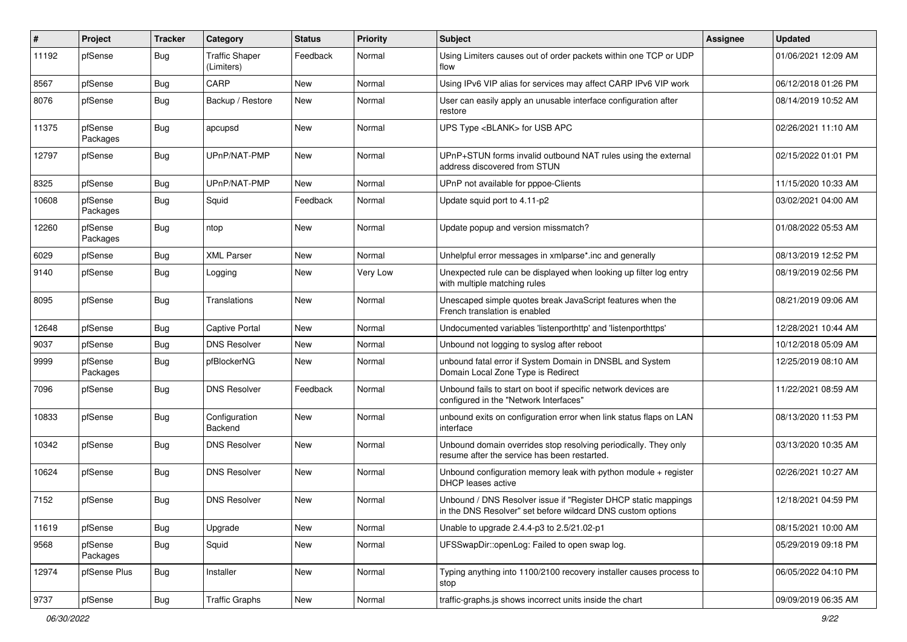| #     | Project             | <b>Tracker</b> | Category                            | <b>Status</b> | Priority | Subject                                                                                                                       | <b>Assignee</b> | <b>Updated</b>      |
|-------|---------------------|----------------|-------------------------------------|---------------|----------|-------------------------------------------------------------------------------------------------------------------------------|-----------------|---------------------|
| 11192 | pfSense             | <b>Bug</b>     | <b>Traffic Shaper</b><br>(Limiters) | Feedback      | Normal   | Using Limiters causes out of order packets within one TCP or UDP<br>flow                                                      |                 | 01/06/2021 12:09 AM |
| 8567  | pfSense             | Bug            | CARP                                | New           | Normal   | Using IPv6 VIP alias for services may affect CARP IPv6 VIP work                                                               |                 | 06/12/2018 01:26 PM |
| 8076  | pfSense             | Bug            | Backup / Restore                    | New           | Normal   | User can easily apply an unusable interface configuration after<br>restore                                                    |                 | 08/14/2019 10:52 AM |
| 11375 | pfSense<br>Packages | <b>Bug</b>     | apcupsd                             | <b>New</b>    | Normal   | UPS Type <blank> for USB APC</blank>                                                                                          |                 | 02/26/2021 11:10 AM |
| 12797 | pfSense             | <b>Bug</b>     | UPnP/NAT-PMP                        | <b>New</b>    | Normal   | UPnP+STUN forms invalid outbound NAT rules using the external<br>address discovered from STUN                                 |                 | 02/15/2022 01:01 PM |
| 8325  | pfSense             | Bug            | UPnP/NAT-PMP                        | New           | Normal   | UPnP not available for pppoe-Clients                                                                                          |                 | 11/15/2020 10:33 AM |
| 10608 | pfSense<br>Packages | <b>Bug</b>     | Squid                               | Feedback      | Normal   | Update squid port to 4.11-p2                                                                                                  |                 | 03/02/2021 04:00 AM |
| 12260 | pfSense<br>Packages | Bug            | ntop                                | <b>New</b>    | Normal   | Update popup and version missmatch?                                                                                           |                 | 01/08/2022 05:53 AM |
| 6029  | pfSense             | Bug            | <b>XML Parser</b>                   | <b>New</b>    | Normal   | Unhelpful error messages in xmlparse*.inc and generally                                                                       |                 | 08/13/2019 12:52 PM |
| 9140  | pfSense             | <b>Bug</b>     | Logging                             | <b>New</b>    | Very Low | Unexpected rule can be displayed when looking up filter log entry<br>with multiple matching rules                             |                 | 08/19/2019 02:56 PM |
| 8095  | pfSense             | Bug            | Translations                        | New           | Normal   | Unescaped simple quotes break JavaScript features when the<br>French translation is enabled                                   |                 | 08/21/2019 09:06 AM |
| 12648 | pfSense             | Bug            | <b>Captive Portal</b>               | <b>New</b>    | Normal   | Undocumented variables 'listenporthttp' and 'listenporthttps'                                                                 |                 | 12/28/2021 10:44 AM |
| 9037  | pfSense             | Bug            | <b>DNS Resolver</b>                 | New           | Normal   | Unbound not logging to syslog after reboot                                                                                    |                 | 10/12/2018 05:09 AM |
| 9999  | pfSense<br>Packages | <b>Bug</b>     | pfBlockerNG                         | New           | Normal   | unbound fatal error if System Domain in DNSBL and System<br>Domain Local Zone Type is Redirect                                |                 | 12/25/2019 08:10 AM |
| 7096  | pfSense             | <b>Bug</b>     | <b>DNS Resolver</b>                 | Feedback      | Normal   | Unbound fails to start on boot if specific network devices are<br>configured in the "Network Interfaces"                      |                 | 11/22/2021 08:59 AM |
| 10833 | pfSense             | Bug            | Configuration<br>Backend            | <b>New</b>    | Normal   | unbound exits on configuration error when link status flaps on LAN<br>interface                                               |                 | 08/13/2020 11:53 PM |
| 10342 | pfSense             | Bug            | <b>DNS Resolver</b>                 | <b>New</b>    | Normal   | Unbound domain overrides stop resolving periodically. They only<br>resume after the service has been restarted.               |                 | 03/13/2020 10:35 AM |
| 10624 | pfSense             | <b>Bug</b>     | <b>DNS Resolver</b>                 | New           | Normal   | Unbound configuration memory leak with python module + register<br><b>DHCP</b> leases active                                  |                 | 02/26/2021 10:27 AM |
| 7152  | pfSense             | Bug            | <b>DNS Resolver</b>                 | <b>New</b>    | Normal   | Unbound / DNS Resolver issue if "Register DHCP static mappings<br>in the DNS Resolver" set before wildcard DNS custom options |                 | 12/18/2021 04:59 PM |
| 11619 | pfSense             | Bug            | Upgrade                             | New           | Normal   | Unable to upgrade 2.4.4-p3 to 2.5/21.02-p1                                                                                    |                 | 08/15/2021 10:00 AM |
| 9568  | pfSense<br>Packages | Bug            | Squid                               | New           | Normal   | UFSSwapDir::openLog: Failed to open swap log.                                                                                 |                 | 05/29/2019 09:18 PM |
| 12974 | pfSense Plus        | <b>Bug</b>     | Installer                           | New           | Normal   | Typing anything into 1100/2100 recovery installer causes process to<br>stop                                                   |                 | 06/05/2022 04:10 PM |
| 9737  | pfSense             | <b>Bug</b>     | <b>Traffic Graphs</b>               | New           | Normal   | traffic-graphs.js shows incorrect units inside the chart                                                                      |                 | 09/09/2019 06:35 AM |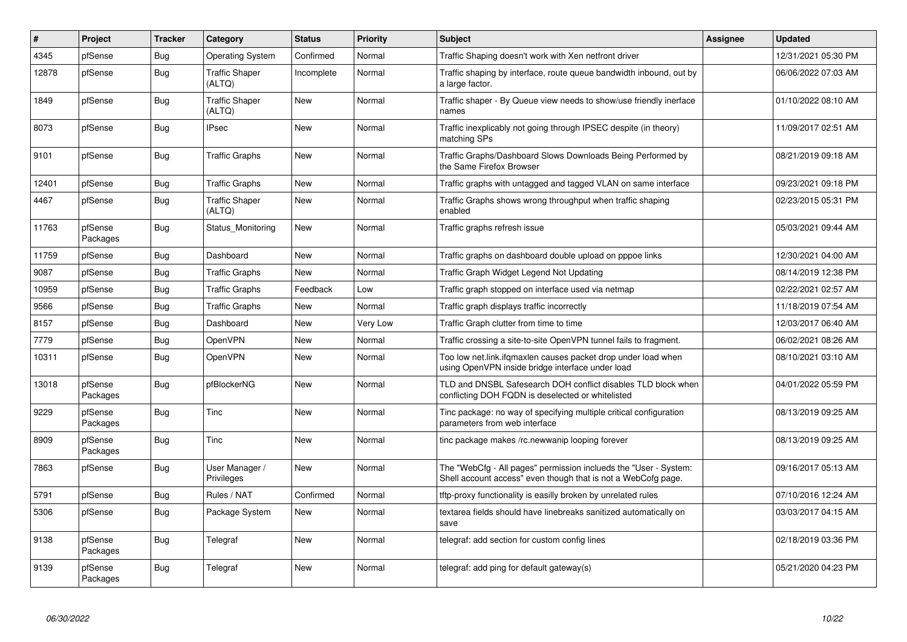| $\vert$ # | Project             | <b>Tracker</b> | Category                        | <b>Status</b> | <b>Priority</b> | <b>Subject</b>                                                                                                                    | <b>Assignee</b> | <b>Updated</b>      |
|-----------|---------------------|----------------|---------------------------------|---------------|-----------------|-----------------------------------------------------------------------------------------------------------------------------------|-----------------|---------------------|
| 4345      | pfSense             | Bug            | <b>Operating System</b>         | Confirmed     | Normal          | Traffic Shaping doesn't work with Xen netfront driver                                                                             |                 | 12/31/2021 05:30 PM |
| 12878     | pfSense             | <b>Bug</b>     | <b>Traffic Shaper</b><br>(ALTQ) | Incomplete    | Normal          | Traffic shaping by interface, route queue bandwidth inbound, out by<br>a large factor.                                            |                 | 06/06/2022 07:03 AM |
| 1849      | pfSense             | <b>Bug</b>     | <b>Traffic Shaper</b><br>(ALTQ) | <b>New</b>    | Normal          | Traffic shaper - By Queue view needs to show/use friendly inerface<br>names                                                       |                 | 01/10/2022 08:10 AM |
| 8073      | pfSense             | <b>Bug</b>     | <b>IPsec</b>                    | <b>New</b>    | Normal          | Traffic inexplicably not going through IPSEC despite (in theory)<br>matching SPs                                                  |                 | 11/09/2017 02:51 AM |
| 9101      | pfSense             | Bug            | <b>Traffic Graphs</b>           | <b>New</b>    | Normal          | Traffic Graphs/Dashboard Slows Downloads Being Performed by<br>the Same Firefox Browser                                           |                 | 08/21/2019 09:18 AM |
| 12401     | pfSense             | Bug            | <b>Traffic Graphs</b>           | <b>New</b>    | Normal          | Traffic graphs with untagged and tagged VLAN on same interface                                                                    |                 | 09/23/2021 09:18 PM |
| 4467      | pfSense             | <b>Bug</b>     | <b>Traffic Shaper</b><br>(ALTQ) | New           | Normal          | Traffic Graphs shows wrong throughput when traffic shaping<br>enabled                                                             |                 | 02/23/2015 05:31 PM |
| 11763     | pfSense<br>Packages | <b>Bug</b>     | Status Monitoring               | <b>New</b>    | Normal          | Traffic graphs refresh issue                                                                                                      |                 | 05/03/2021 09:44 AM |
| 11759     | pfSense             | <b>Bug</b>     | Dashboard                       | New           | Normal          | Traffic graphs on dashboard double upload on pppoe links                                                                          |                 | 12/30/2021 04:00 AM |
| 9087      | pfSense             | <b>Bug</b>     | <b>Traffic Graphs</b>           | <b>New</b>    | Normal          | Traffic Graph Widget Legend Not Updating                                                                                          |                 | 08/14/2019 12:38 PM |
| 10959     | pfSense             | <b>Bug</b>     | <b>Traffic Graphs</b>           | Feedback      | Low             | Traffic graph stopped on interface used via netmap                                                                                |                 | 02/22/2021 02:57 AM |
| 9566      | pfSense             | <b>Bug</b>     | <b>Traffic Graphs</b>           | New           | Normal          | Traffic graph displays traffic incorrectly                                                                                        |                 | 11/18/2019 07:54 AM |
| 8157      | pfSense             | <b>Bug</b>     | Dashboard                       | <b>New</b>    | Very Low        | Traffic Graph clutter from time to time                                                                                           |                 | 12/03/2017 06:40 AM |
| 7779      | pfSense             | <b>Bug</b>     | OpenVPN                         | New           | Normal          | Traffic crossing a site-to-site OpenVPN tunnel fails to fragment.                                                                 |                 | 06/02/2021 08:26 AM |
| 10311     | pfSense             | <b>Bug</b>     | <b>OpenVPN</b>                  | New           | Normal          | Too low net.link.ifgmaxlen causes packet drop under load when<br>using OpenVPN inside bridge interface under load                 |                 | 08/10/2021 03:10 AM |
| 13018     | pfSense<br>Packages | <b>Bug</b>     | pfBlockerNG                     | New           | Normal          | TLD and DNSBL Safesearch DOH conflict disables TLD block when<br>conflicting DOH FQDN is deselected or whitelisted                |                 | 04/01/2022 05:59 PM |
| 9229      | pfSense<br>Packages | <b>Bug</b>     | Tinc                            | <b>New</b>    | Normal          | Tinc package: no way of specifying multiple critical configuration<br>parameters from web interface                               |                 | 08/13/2019 09:25 AM |
| 8909      | pfSense<br>Packages | <b>Bug</b>     | Tinc                            | <b>New</b>    | Normal          | tinc package makes /rc.newwanip looping forever                                                                                   |                 | 08/13/2019 09:25 AM |
| 7863      | pfSense             | <b>Bug</b>     | User Manager /<br>Privileges    | <b>New</b>    | Normal          | The "WebCfg - All pages" permission inclueds the "User - System:<br>Shell account access" even though that is not a WebCofg page. |                 | 09/16/2017 05:13 AM |
| 5791      | pfSense             | Bug            | Rules / NAT                     | Confirmed     | Normal          | tftp-proxy functionality is easilly broken by unrelated rules                                                                     |                 | 07/10/2016 12:24 AM |
| 5306      | pfSense             | <b>Bug</b>     | Package System                  | <b>New</b>    | Normal          | textarea fields should have linebreaks sanitized automatically on<br>save                                                         |                 | 03/03/2017 04:15 AM |
| 9138      | pfSense<br>Packages | Bug            | Telegraf                        | <b>New</b>    | Normal          | telegraf: add section for custom config lines                                                                                     |                 | 02/18/2019 03:36 PM |
| 9139      | pfSense<br>Packages | Bug            | Telegraf                        | New           | Normal          | telegraf: add ping for default gateway(s)                                                                                         |                 | 05/21/2020 04:23 PM |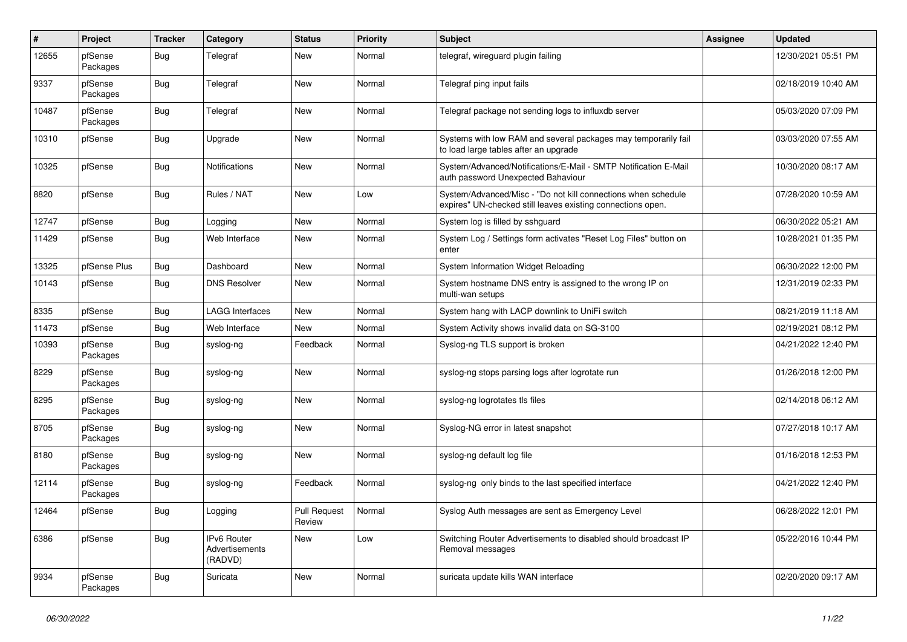| #     | Project             | <b>Tracker</b> | Category                                 | <b>Status</b>                 | <b>Priority</b> | Subject                                                                                                                      | <b>Assignee</b> | <b>Updated</b>      |
|-------|---------------------|----------------|------------------------------------------|-------------------------------|-----------------|------------------------------------------------------------------------------------------------------------------------------|-----------------|---------------------|
| 12655 | pfSense<br>Packages | Bug            | Telegraf                                 | <b>New</b>                    | Normal          | telegraf, wireguard plugin failing                                                                                           |                 | 12/30/2021 05:51 PM |
| 9337  | pfSense<br>Packages | Bug            | Telegraf                                 | <b>New</b>                    | Normal          | Telegraf ping input fails                                                                                                    |                 | 02/18/2019 10:40 AM |
| 10487 | pfSense<br>Packages | <b>Bug</b>     | Telegraf                                 | New                           | Normal          | Telegraf package not sending logs to influxdb server                                                                         |                 | 05/03/2020 07:09 PM |
| 10310 | pfSense             | Bug            | Upgrade                                  | New                           | Normal          | Systems with low RAM and several packages may temporarily fail<br>to load large tables after an upgrade                      |                 | 03/03/2020 07:55 AM |
| 10325 | pfSense             | <b>Bug</b>     | Notifications                            | <b>New</b>                    | Normal          | System/Advanced/Notifications/E-Mail - SMTP Notification E-Mail<br>auth password Unexpected Bahaviour                        |                 | 10/30/2020 08:17 AM |
| 8820  | pfSense             | <b>Bug</b>     | Rules / NAT                              | <b>New</b>                    | Low             | System/Advanced/Misc - "Do not kill connections when schedule<br>expires" UN-checked still leaves existing connections open. |                 | 07/28/2020 10:59 AM |
| 12747 | pfSense             | Bug            | Logging                                  | <b>New</b>                    | Normal          | System log is filled by sshguard                                                                                             |                 | 06/30/2022 05:21 AM |
| 11429 | pfSense             | <b>Bug</b>     | Web Interface                            | New                           | Normal          | System Log / Settings form activates "Reset Log Files" button on<br>enter                                                    |                 | 10/28/2021 01:35 PM |
| 13325 | pfSense Plus        | Bug            | Dashboard                                | New                           | Normal          | System Information Widget Reloading                                                                                          |                 | 06/30/2022 12:00 PM |
| 10143 | pfSense             | Bug            | <b>DNS Resolver</b>                      | New                           | Normal          | System hostname DNS entry is assigned to the wrong IP on<br>multi-wan setups                                                 |                 | 12/31/2019 02:33 PM |
| 8335  | pfSense             | Bug            | <b>LAGG Interfaces</b>                   | <b>New</b>                    | Normal          | System hang with LACP downlink to UniFi switch                                                                               |                 | 08/21/2019 11:18 AM |
| 11473 | pfSense             | Bug            | Web Interface                            | <b>New</b>                    | Normal          | System Activity shows invalid data on SG-3100                                                                                |                 | 02/19/2021 08:12 PM |
| 10393 | pfSense<br>Packages | Bug            | syslog-ng                                | Feedback                      | Normal          | Syslog-ng TLS support is broken                                                                                              |                 | 04/21/2022 12:40 PM |
| 8229  | pfSense<br>Packages | <b>Bug</b>     | syslog-ng                                | <b>New</b>                    | Normal          | syslog-ng stops parsing logs after logrotate run                                                                             |                 | 01/26/2018 12:00 PM |
| 8295  | pfSense<br>Packages | <b>Bug</b>     | syslog-ng                                | <b>New</b>                    | Normal          | syslog-ng logrotates tls files                                                                                               |                 | 02/14/2018 06:12 AM |
| 8705  | pfSense<br>Packages | <b>Bug</b>     | syslog-ng                                | <b>New</b>                    | Normal          | Syslog-NG error in latest snapshot                                                                                           |                 | 07/27/2018 10:17 AM |
| 8180  | pfSense<br>Packages | <b>Bug</b>     | syslog-ng                                | <b>New</b>                    | Normal          | syslog-ng default log file                                                                                                   |                 | 01/16/2018 12:53 PM |
| 12114 | pfSense<br>Packages | <b>Bug</b>     | syslog-ng                                | Feedback                      | Normal          | syslog-ng only binds to the last specified interface                                                                         |                 | 04/21/2022 12:40 PM |
| 12464 | pfSense             | Bug            | Logging                                  | <b>Pull Request</b><br>Review | Normal          | Syslog Auth messages are sent as Emergency Level                                                                             |                 | 06/28/2022 12:01 PM |
| 6386  | pfSense             | Bug            | IPv6 Router<br>Advertisements<br>(RADVD) | New                           | Low             | Switching Router Advertisements to disabled should broadcast IP<br>Removal messages                                          |                 | 05/22/2016 10:44 PM |
| 9934  | pfSense<br>Packages | <b>Bug</b>     | Suricata                                 | New                           | Normal          | suricata update kills WAN interface                                                                                          |                 | 02/20/2020 09:17 AM |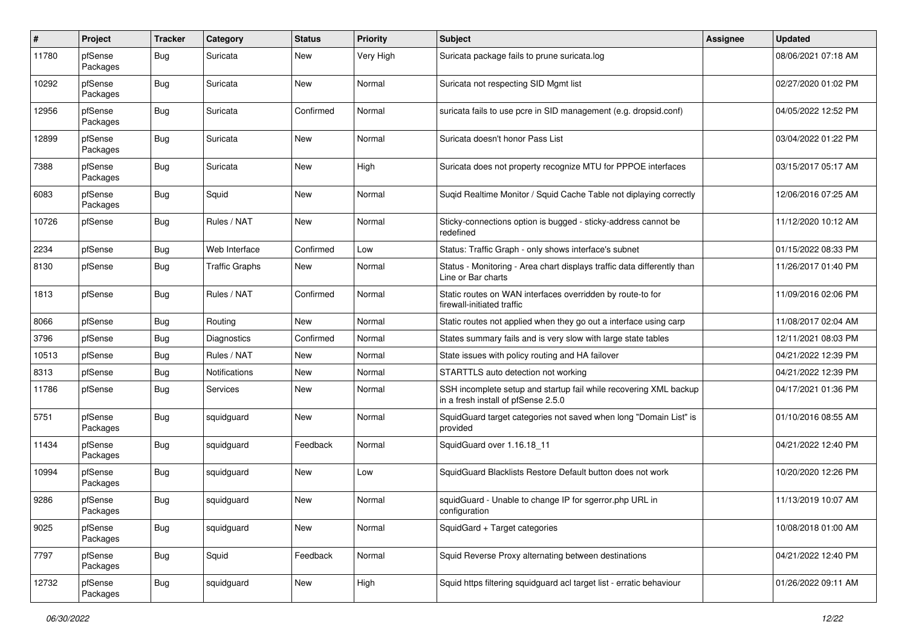| $\pmb{\#}$ | Project             | <b>Tracker</b> | Category              | <b>Status</b> | <b>Priority</b> | Subject                                                                                                  | <b>Assignee</b> | <b>Updated</b>      |
|------------|---------------------|----------------|-----------------------|---------------|-----------------|----------------------------------------------------------------------------------------------------------|-----------------|---------------------|
| 11780      | pfSense<br>Packages | <b>Bug</b>     | Suricata              | New           | Very High       | Suricata package fails to prune suricata.log                                                             |                 | 08/06/2021 07:18 AM |
| 10292      | pfSense<br>Packages | <b>Bug</b>     | Suricata              | <b>New</b>    | Normal          | Suricata not respecting SID Mgmt list                                                                    |                 | 02/27/2020 01:02 PM |
| 12956      | pfSense<br>Packages | <b>Bug</b>     | Suricata              | Confirmed     | Normal          | suricata fails to use pcre in SID management (e.g. dropsid.conf)                                         |                 | 04/05/2022 12:52 PM |
| 12899      | pfSense<br>Packages | <b>Bug</b>     | Suricata              | New           | Normal          | Suricata doesn't honor Pass List                                                                         |                 | 03/04/2022 01:22 PM |
| 7388       | pfSense<br>Packages | Bug            | Suricata              | <b>New</b>    | High            | Suricata does not property recognize MTU for PPPOE interfaces                                            |                 | 03/15/2017 05:17 AM |
| 6083       | pfSense<br>Packages | <b>Bug</b>     | Squid                 | New           | Normal          | Suqid Realtime Monitor / Squid Cache Table not diplaying correctly                                       |                 | 12/06/2016 07:25 AM |
| 10726      | pfSense             | <b>Bug</b>     | Rules / NAT           | <b>New</b>    | Normal          | Sticky-connections option is bugged - sticky-address cannot be<br>redefined                              |                 | 11/12/2020 10:12 AM |
| 2234       | pfSense             | <b>Bug</b>     | Web Interface         | Confirmed     | Low             | Status: Traffic Graph - only shows interface's subnet                                                    |                 | 01/15/2022 08:33 PM |
| 8130       | pfSense             | <b>Bug</b>     | <b>Traffic Graphs</b> | <b>New</b>    | Normal          | Status - Monitoring - Area chart displays traffic data differently than<br>Line or Bar charts            |                 | 11/26/2017 01:40 PM |
| 1813       | pfSense             | <b>Bug</b>     | Rules / NAT           | Confirmed     | Normal          | Static routes on WAN interfaces overridden by route-to for<br>firewall-initiated traffic                 |                 | 11/09/2016 02:06 PM |
| 8066       | pfSense             | <b>Bug</b>     | Routing               | New           | Normal          | Static routes not applied when they go out a interface using carp                                        |                 | 11/08/2017 02:04 AM |
| 3796       | pfSense             | <b>Bug</b>     | Diagnostics           | Confirmed     | Normal          | States summary fails and is very slow with large state tables                                            |                 | 12/11/2021 08:03 PM |
| 10513      | pfSense             | <b>Bug</b>     | Rules / NAT           | New           | Normal          | State issues with policy routing and HA failover                                                         |                 | 04/21/2022 12:39 PM |
| 8313       | pfSense             | <b>Bug</b>     | Notifications         | New           | Normal          | STARTTLS auto detection not working                                                                      |                 | 04/21/2022 12:39 PM |
| 11786      | pfSense             | <b>Bug</b>     | Services              | <b>New</b>    | Normal          | SSH incomplete setup and startup fail while recovering XML backup<br>in a fresh install of pfSense 2.5.0 |                 | 04/17/2021 01:36 PM |
| 5751       | pfSense<br>Packages | <b>Bug</b>     | squidguard            | New           | Normal          | SquidGuard target categories not saved when long "Domain List" is<br>provided                            |                 | 01/10/2016 08:55 AM |
| 11434      | pfSense<br>Packages | <b>Bug</b>     | squidguard            | Feedback      | Normal          | SquidGuard over 1.16.18 11                                                                               |                 | 04/21/2022 12:40 PM |
| 10994      | pfSense<br>Packages | <b>Bug</b>     | squidguard            | New           | Low             | SquidGuard Blacklists Restore Default button does not work                                               |                 | 10/20/2020 12:26 PM |
| 9286       | pfSense<br>Packages | <b>Bug</b>     | squidguard            | <b>New</b>    | Normal          | squidGuard - Unable to change IP for sgerror.php URL in<br>configuration                                 |                 | 11/13/2019 10:07 AM |
| 9025       | pfSense<br>Packages | Bug            | squidguard            | New           | Normal          | SquidGard + Target categories                                                                            |                 | 10/08/2018 01:00 AM |
| 7797       | pfSense<br>Packages | <b>Bug</b>     | Squid                 | Feedback      | Normal          | Squid Reverse Proxy alternating between destinations                                                     |                 | 04/21/2022 12:40 PM |
| 12732      | pfSense<br>Packages | <b>Bug</b>     | squidguard            | New           | High            | Squid https filtering squidguard acl target list - erratic behaviour                                     |                 | 01/26/2022 09:11 AM |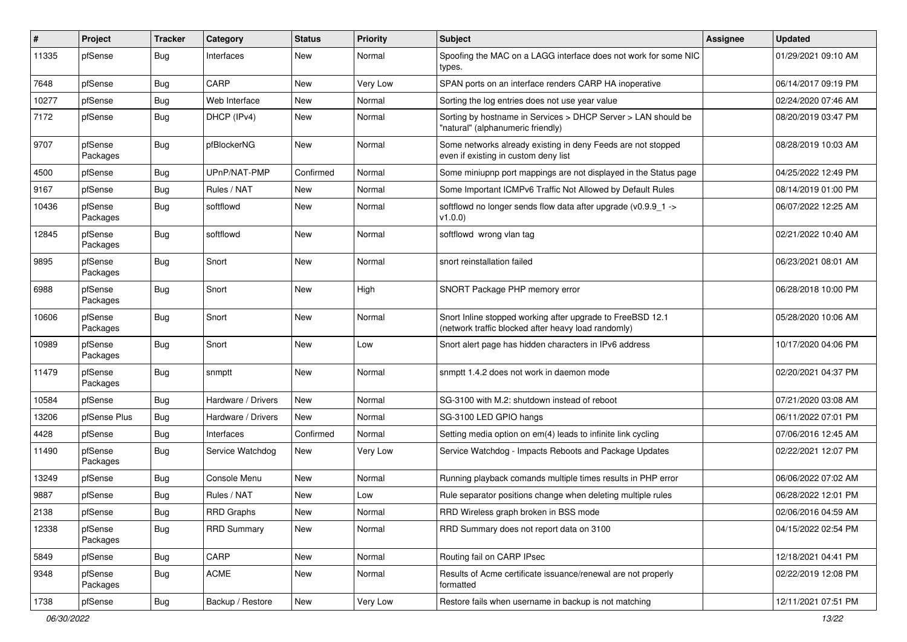| $\pmb{\#}$ | Project             | <b>Tracker</b> | Category           | <b>Status</b> | Priority | <b>Subject</b>                                                                                                    | <b>Assignee</b> | <b>Updated</b>      |
|------------|---------------------|----------------|--------------------|---------------|----------|-------------------------------------------------------------------------------------------------------------------|-----------------|---------------------|
| 11335      | pfSense             | Bug            | Interfaces         | New           | Normal   | Spoofing the MAC on a LAGG interface does not work for some NIC<br>types.                                         |                 | 01/29/2021 09:10 AM |
| 7648       | pfSense             | Bug            | CARP               | <b>New</b>    | Very Low | SPAN ports on an interface renders CARP HA inoperative                                                            |                 | 06/14/2017 09:19 PM |
| 10277      | pfSense             | Bug            | Web Interface      | New           | Normal   | Sorting the log entries does not use year value                                                                   |                 | 02/24/2020 07:46 AM |
| 7172       | pfSense             | Bug            | DHCP (IPv4)        | <b>New</b>    | Normal   | Sorting by hostname in Services > DHCP Server > LAN should be<br>"natural" (alphanumeric friendly)                |                 | 08/20/2019 03:47 PM |
| 9707       | pfSense<br>Packages | Bug            | pfBlockerNG        | New           | Normal   | Some networks already existing in deny Feeds are not stopped<br>even if existing in custom deny list              |                 | 08/28/2019 10:03 AM |
| 4500       | pfSense             | <b>Bug</b>     | UPnP/NAT-PMP       | Confirmed     | Normal   | Some miniupnp port mappings are not displayed in the Status page                                                  |                 | 04/25/2022 12:49 PM |
| 9167       | pfSense             | Bug            | Rules / NAT        | New           | Normal   | Some Important ICMPv6 Traffic Not Allowed by Default Rules                                                        |                 | 08/14/2019 01:00 PM |
| 10436      | pfSense<br>Packages | <b>Bug</b>     | softflowd          | New           | Normal   | softflowd no longer sends flow data after upgrade ( $v0.9.9$ 1 -><br>v1.0.0)                                      |                 | 06/07/2022 12:25 AM |
| 12845      | pfSense<br>Packages | <b>Bug</b>     | softflowd          | <b>New</b>    | Normal   | softflowd wrong vlan tag                                                                                          |                 | 02/21/2022 10:40 AM |
| 9895       | pfSense<br>Packages | <b>Bug</b>     | Snort              | New           | Normal   | snort reinstallation failed                                                                                       |                 | 06/23/2021 08:01 AM |
| 6988       | pfSense<br>Packages | <b>Bug</b>     | Snort              | New           | High     | SNORT Package PHP memory error                                                                                    |                 | 06/28/2018 10:00 PM |
| 10606      | pfSense<br>Packages | <b>Bug</b>     | Snort              | New           | Normal   | Snort Inline stopped working after upgrade to FreeBSD 12.1<br>(network traffic blocked after heavy load randomly) |                 | 05/28/2020 10:06 AM |
| 10989      | pfSense<br>Packages | <b>Bug</b>     | Snort              | New           | Low      | Snort alert page has hidden characters in IPv6 address                                                            |                 | 10/17/2020 04:06 PM |
| 11479      | pfSense<br>Packages | <b>Bug</b>     | snmptt             | New           | Normal   | snmptt 1.4.2 does not work in daemon mode                                                                         |                 | 02/20/2021 04:37 PM |
| 10584      | pfSense             | <b>Bug</b>     | Hardware / Drivers | New           | Normal   | SG-3100 with M.2: shutdown instead of reboot                                                                      |                 | 07/21/2020 03:08 AM |
| 13206      | pfSense Plus        | Bug            | Hardware / Drivers | New           | Normal   | SG-3100 LED GPIO hangs                                                                                            |                 | 06/11/2022 07:01 PM |
| 4428       | pfSense             | Bug            | Interfaces         | Confirmed     | Normal   | Setting media option on em(4) leads to infinite link cycling                                                      |                 | 07/06/2016 12:45 AM |
| 11490      | pfSense<br>Packages | Bug            | Service Watchdog   | New           | Very Low | Service Watchdog - Impacts Reboots and Package Updates                                                            |                 | 02/22/2021 12:07 PM |
| 13249      | pfSense             | <b>Bug</b>     | Console Menu       | New           | Normal   | Running playback comands multiple times results in PHP error                                                      |                 | 06/06/2022 07:02 AM |
| 9887       | pfSense             | Bug            | Rules / NAT        | New           | Low      | Rule separator positions change when deleting multiple rules                                                      |                 | 06/28/2022 12:01 PM |
| 2138       | pfSense             | i Bug          | <b>RRD Graphs</b>  | New           | Normal   | RRD Wireless graph broken in BSS mode                                                                             |                 | 02/06/2016 04:59 AM |
| 12338      | pfSense<br>Packages | Bug            | <b>RRD Summary</b> | New           | Normal   | RRD Summary does not report data on 3100                                                                          |                 | 04/15/2022 02:54 PM |
| 5849       | pfSense             | <b>Bug</b>     | CARP               | New           | Normal   | Routing fail on CARP IPsec                                                                                        |                 | 12/18/2021 04:41 PM |
| 9348       | pfSense<br>Packages | Bug            | ACME               | New           | Normal   | Results of Acme certificate issuance/renewal are not properly<br>formatted                                        |                 | 02/22/2019 12:08 PM |
| 1738       | pfSense             | <b>Bug</b>     | Backup / Restore   | New           | Very Low | Restore fails when username in backup is not matching                                                             |                 | 12/11/2021 07:51 PM |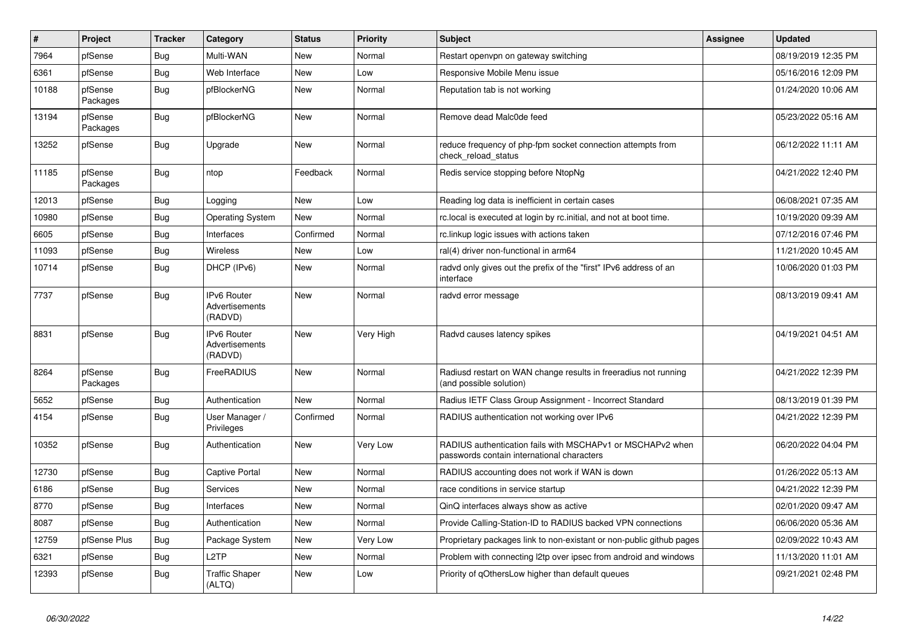| $\vert$ # | <b>Project</b>      | <b>Tracker</b> | Category                                        | <b>Status</b> | <b>Priority</b> | <b>Subject</b>                                                                                           | Assignee | <b>Updated</b>      |
|-----------|---------------------|----------------|-------------------------------------------------|---------------|-----------------|----------------------------------------------------------------------------------------------------------|----------|---------------------|
| 7964      | pfSense             | <b>Bug</b>     | Multi-WAN                                       | <b>New</b>    | Normal          | Restart openvpn on gateway switching                                                                     |          | 08/19/2019 12:35 PM |
| 6361      | pfSense             | Bug            | Web Interface                                   | <b>New</b>    | Low             | Responsive Mobile Menu issue                                                                             |          | 05/16/2016 12:09 PM |
| 10188     | pfSense<br>Packages | <b>Bug</b>     | pfBlockerNG                                     | New           | Normal          | Reputation tab is not working                                                                            |          | 01/24/2020 10:06 AM |
| 13194     | pfSense<br>Packages | Bug            | pfBlockerNG                                     | <b>New</b>    | Normal          | Remove dead Malc0de feed                                                                                 |          | 05/23/2022 05:16 AM |
| 13252     | pfSense             | <b>Bug</b>     | Upgrade                                         | <b>New</b>    | Normal          | reduce frequency of php-fpm socket connection attempts from<br>check reload status                       |          | 06/12/2022 11:11 AM |
| 11185     | pfSense<br>Packages | <b>Bug</b>     | ntop                                            | Feedback      | Normal          | Redis service stopping before NtopNg                                                                     |          | 04/21/2022 12:40 PM |
| 12013     | pfSense             | <b>Bug</b>     | Logging                                         | <b>New</b>    | Low             | Reading log data is inefficient in certain cases                                                         |          | 06/08/2021 07:35 AM |
| 10980     | pfSense             | <b>Bug</b>     | <b>Operating System</b>                         | <b>New</b>    | Normal          | rc.local is executed at login by rc.initial, and not at boot time.                                       |          | 10/19/2020 09:39 AM |
| 6605      | pfSense             | <b>Bug</b>     | Interfaces                                      | Confirmed     | Normal          | rc.linkup logic issues with actions taken                                                                |          | 07/12/2016 07:46 PM |
| 11093     | pfSense             | <b>Bug</b>     | <b>Wireless</b>                                 | New           | Low             | ral(4) driver non-functional in arm64                                                                    |          | 11/21/2020 10:45 AM |
| 10714     | pfSense             | <b>Bug</b>     | DHCP (IPv6)                                     | New           | Normal          | radvd only gives out the prefix of the "first" IPv6 address of an<br>interface                           |          | 10/06/2020 01:03 PM |
| 7737      | pfSense             | <b>Bug</b>     | <b>IPv6 Router</b><br>Advertisements<br>(RADVD) | <b>New</b>    | Normal          | radvd error message                                                                                      |          | 08/13/2019 09:41 AM |
| 8831      | pfSense             | <b>Bug</b>     | <b>IPv6 Router</b><br>Advertisements<br>(RADVD) | <b>New</b>    | Very High       | Radvd causes latency spikes                                                                              |          | 04/19/2021 04:51 AM |
| 8264      | pfSense<br>Packages | Bug            | FreeRADIUS                                      | <b>New</b>    | Normal          | Radiusd restart on WAN change results in freeradius not running<br>(and possible solution)               |          | 04/21/2022 12:39 PM |
| 5652      | pfSense             | <b>Bug</b>     | Authentication                                  | New           | Normal          | Radius IETF Class Group Assignment - Incorrect Standard                                                  |          | 08/13/2019 01:39 PM |
| 4154      | pfSense             | Bug            | User Manager /<br>Privileges                    | Confirmed     | Normal          | RADIUS authentication not working over IPv6                                                              |          | 04/21/2022 12:39 PM |
| 10352     | pfSense             | Bug            | Authentication                                  | <b>New</b>    | Very Low        | RADIUS authentication fails with MSCHAPv1 or MSCHAPv2 when<br>passwords contain international characters |          | 06/20/2022 04:04 PM |
| 12730     | pfSense             | <b>Bug</b>     | <b>Captive Portal</b>                           | <b>New</b>    | Normal          | RADIUS accounting does not work if WAN is down                                                           |          | 01/26/2022 05:13 AM |
| 6186      | pfSense             | <b>Bug</b>     | Services                                        | New           | Normal          | race conditions in service startup                                                                       |          | 04/21/2022 12:39 PM |
| 8770      | pfSense             | Bug            | Interfaces                                      | New           | Normal          | QinQ interfaces always show as active                                                                    |          | 02/01/2020 09:47 AM |
| 8087      | pfSense             | Bug            | Authentication                                  | New           | Normal          | Provide Calling-Station-ID to RADIUS backed VPN connections                                              |          | 06/06/2020 05:36 AM |
| 12759     | pfSense Plus        | Bug            | Package System                                  | New           | Very Low        | Proprietary packages link to non-existant or non-public github pages                                     |          | 02/09/2022 10:43 AM |
| 6321      | pfSense             | <b>Bug</b>     | L2TP                                            | <b>New</b>    | Normal          | Problem with connecting I2tp over ipsec from android and windows                                         |          | 11/13/2020 11:01 AM |
| 12393     | pfSense             | <b>Bug</b>     | <b>Traffic Shaper</b><br>(ALTQ)                 | <b>New</b>    | Low             | Priority of gOthersLow higher than default queues                                                        |          | 09/21/2021 02:48 PM |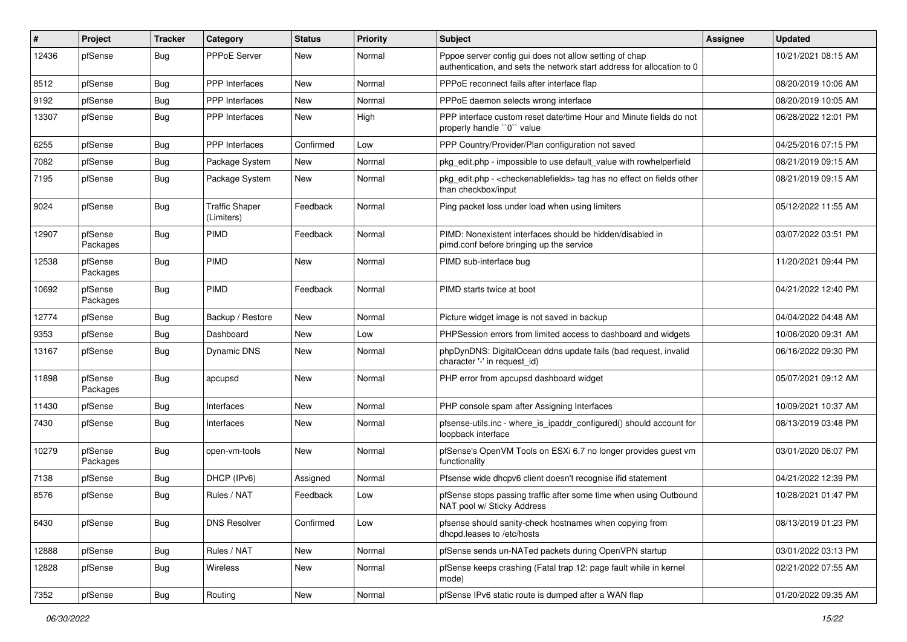| $\sharp$ | Project             | <b>Tracker</b> | Category                            | <b>Status</b> | <b>Priority</b> | Subject                                                                                                                          | <b>Assignee</b> | <b>Updated</b>      |
|----------|---------------------|----------------|-------------------------------------|---------------|-----------------|----------------------------------------------------------------------------------------------------------------------------------|-----------------|---------------------|
| 12436    | pfSense             | <b>Bug</b>     | <b>PPPoE Server</b>                 | <b>New</b>    | Normal          | Pppoe server config gui does not allow setting of chap<br>authentication, and sets the network start address for allocation to 0 |                 | 10/21/2021 08:15 AM |
| 8512     | pfSense             | <b>Bug</b>     | PPP Interfaces                      | <b>New</b>    | Normal          | PPPoE reconnect fails after interface flap                                                                                       |                 | 08/20/2019 10:06 AM |
| 9192     | pfSense             | <b>Bug</b>     | <b>PPP</b> Interfaces               | New           | Normal          | PPPoE daemon selects wrong interface                                                                                             |                 | 08/20/2019 10:05 AM |
| 13307    | pfSense             | <b>Bug</b>     | PPP Interfaces                      | New           | High            | PPP interface custom reset date/time Hour and Minute fields do not<br>properly handle "0" value                                  |                 | 06/28/2022 12:01 PM |
| 6255     | pfSense             | <b>Bug</b>     | <b>PPP</b> Interfaces               | Confirmed     | Low             | PPP Country/Provider/Plan configuration not saved                                                                                |                 | 04/25/2016 07:15 PM |
| 7082     | pfSense             | <b>Bug</b>     | Package System                      | New           | Normal          | pkg edit.php - impossible to use default value with rowhelperfield                                                               |                 | 08/21/2019 09:15 AM |
| 7195     | pfSense             | <b>Bug</b>     | Package System                      | New           | Normal          | pkg_edit.php - < checkenablefields> tag has no effect on fields other<br>than checkbox/input                                     |                 | 08/21/2019 09:15 AM |
| 9024     | pfSense             | <b>Bug</b>     | <b>Traffic Shaper</b><br>(Limiters) | Feedback      | Normal          | Ping packet loss under load when using limiters                                                                                  |                 | 05/12/2022 11:55 AM |
| 12907    | pfSense<br>Packages | <b>Bug</b>     | <b>PIMD</b>                         | Feedback      | Normal          | PIMD: Nonexistent interfaces should be hidden/disabled in<br>pimd.conf before bringing up the service                            |                 | 03/07/2022 03:51 PM |
| 12538    | pfSense<br>Packages | <b>Bug</b>     | PIMD                                | New           | Normal          | PIMD sub-interface bug                                                                                                           |                 | 11/20/2021 09:44 PM |
| 10692    | pfSense<br>Packages | <b>Bug</b>     | <b>PIMD</b>                         | Feedback      | Normal          | PIMD starts twice at boot                                                                                                        |                 | 04/21/2022 12:40 PM |
| 12774    | pfSense             | <b>Bug</b>     | Backup / Restore                    | <b>New</b>    | Normal          | Picture widget image is not saved in backup                                                                                      |                 | 04/04/2022 04:48 AM |
| 9353     | pfSense             | <b>Bug</b>     | Dashboard                           | <b>New</b>    | Low             | PHPSession errors from limited access to dashboard and widgets                                                                   |                 | 10/06/2020 09:31 AM |
| 13167    | pfSense             | <b>Bug</b>     | <b>Dynamic DNS</b>                  | <b>New</b>    | Normal          | phpDynDNS: DigitalOcean ddns update fails (bad request, invalid<br>character '-' in request_id)                                  |                 | 06/16/2022 09:30 PM |
| 11898    | pfSense<br>Packages | <b>Bug</b>     | apcupsd                             | New           | Normal          | PHP error from apcupsd dashboard widget                                                                                          |                 | 05/07/2021 09:12 AM |
| 11430    | pfSense             | <b>Bug</b>     | Interfaces                          | <b>New</b>    | Normal          | PHP console spam after Assigning Interfaces                                                                                      |                 | 10/09/2021 10:37 AM |
| 7430     | pfSense             | <b>Bug</b>     | Interfaces                          | New           | Normal          | pfsense-utils.inc - where_is_ipaddr_configured() should account for<br>loopback interface                                        |                 | 08/13/2019 03:48 PM |
| 10279    | pfSense<br>Packages | <b>Bug</b>     | open-vm-tools                       | <b>New</b>    | Normal          | pfSense's OpenVM Tools on ESXi 6.7 no longer provides guest vm<br>functionality                                                  |                 | 03/01/2020 06:07 PM |
| 7138     | pfSense             | <b>Bug</b>     | DHCP (IPv6)                         | Assigned      | Normal          | Pfsense wide dhcpv6 client doesn't recognise ifid statement                                                                      |                 | 04/21/2022 12:39 PM |
| 8576     | pfSense             | <b>Bug</b>     | Rules / NAT                         | Feedback      | Low             | pfSense stops passing traffic after some time when using Outbound<br>NAT pool w/ Sticky Address                                  |                 | 10/28/2021 01:47 PM |
| 6430     | pfSense             | <b>Bug</b>     | <b>DNS Resolver</b>                 | Confirmed     | Low             | pfsense should sanity-check hostnames when copying from<br>dhcpd.leases to /etc/hosts                                            |                 | 08/13/2019 01:23 PM |
| 12888    | pfSense             | <b>Bug</b>     | Rules / NAT                         | New           | Normal          | pfSense sends un-NATed packets during OpenVPN startup                                                                            |                 | 03/01/2022 03:13 PM |
| 12828    | pfSense             | <b>Bug</b>     | Wireless                            | New           | Normal          | pfSense keeps crashing (Fatal trap 12: page fault while in kernel<br>mode)                                                       |                 | 02/21/2022 07:55 AM |
| 7352     | pfSense             | <b>Bug</b>     | Routing                             | New           | Normal          | pfSense IPv6 static route is dumped after a WAN flap                                                                             |                 | 01/20/2022 09:35 AM |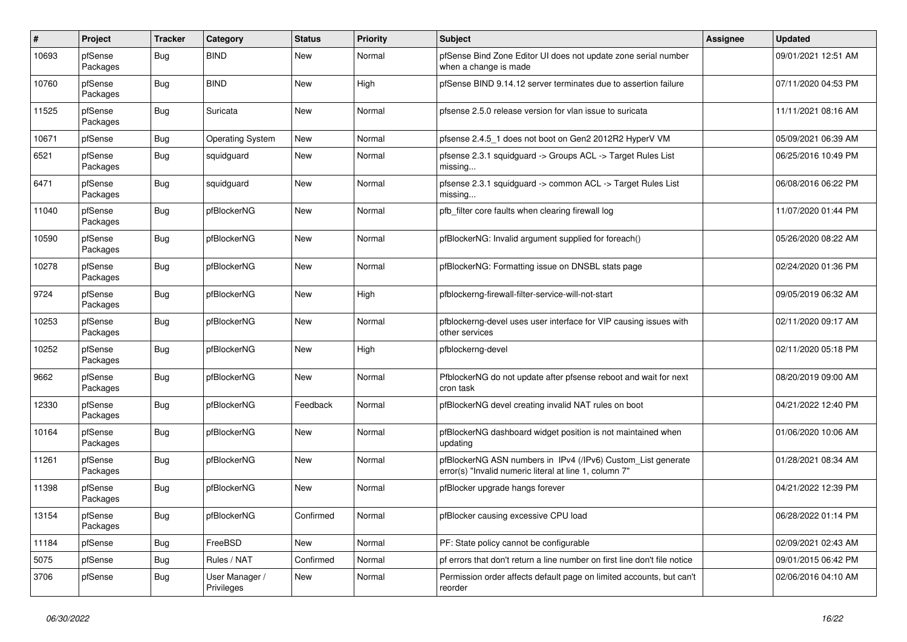| $\pmb{\#}$ | Project             | <b>Tracker</b> | Category                     | <b>Status</b> | <b>Priority</b> | <b>Subject</b>                                                                                                         | <b>Assignee</b> | <b>Updated</b>      |
|------------|---------------------|----------------|------------------------------|---------------|-----------------|------------------------------------------------------------------------------------------------------------------------|-----------------|---------------------|
| 10693      | pfSense<br>Packages | <b>Bug</b>     | <b>BIND</b>                  | New           | Normal          | pfSense Bind Zone Editor UI does not update zone serial number<br>when a change is made                                |                 | 09/01/2021 12:51 AM |
| 10760      | pfSense<br>Packages | Bug            | <b>BIND</b>                  | New           | High            | pfSense BIND 9.14.12 server terminates due to assertion failure                                                        |                 | 07/11/2020 04:53 PM |
| 11525      | pfSense<br>Packages | <b>Bug</b>     | Suricata                     | <b>New</b>    | Normal          | pfsense 2.5.0 release version for vlan issue to suricata                                                               |                 | 11/11/2021 08:16 AM |
| 10671      | pfSense             | <b>Bug</b>     | Operating System             | New           | Normal          | pfsense 2.4.5 1 does not boot on Gen2 2012R2 HyperV VM                                                                 |                 | 05/09/2021 06:39 AM |
| 6521       | pfSense<br>Packages | <b>Bug</b>     | squidguard                   | New           | Normal          | pfsense 2.3.1 squidguard -> Groups ACL -> Target Rules List<br>missing                                                 |                 | 06/25/2016 10:49 PM |
| 6471       | pfSense<br>Packages | <b>Bug</b>     | squidguard                   | <b>New</b>    | Normal          | pfsense 2.3.1 squidguard -> common ACL -> Target Rules List<br>missing                                                 |                 | 06/08/2016 06:22 PM |
| 11040      | pfSense<br>Packages | <b>Bug</b>     | pfBlockerNG                  | <b>New</b>    | Normal          | pfb filter core faults when clearing firewall log                                                                      |                 | 11/07/2020 01:44 PM |
| 10590      | pfSense<br>Packages | Bug            | pfBlockerNG                  | New           | Normal          | pfBlockerNG: Invalid argument supplied for foreach()                                                                   |                 | 05/26/2020 08:22 AM |
| 10278      | pfSense<br>Packages | <b>Bug</b>     | pfBlockerNG                  | <b>New</b>    | Normal          | pfBlockerNG: Formatting issue on DNSBL stats page                                                                      |                 | 02/24/2020 01:36 PM |
| 9724       | pfSense<br>Packages | <b>Bug</b>     | pfBlockerNG                  | <b>New</b>    | High            | pfblockerng-firewall-filter-service-will-not-start                                                                     |                 | 09/05/2019 06:32 AM |
| 10253      | pfSense<br>Packages | <b>Bug</b>     | pfBlockerNG                  | New           | Normal          | pfblockerng-devel uses user interface for VIP causing issues with<br>other services                                    |                 | 02/11/2020 09:17 AM |
| 10252      | pfSense<br>Packages | <b>Bug</b>     | pfBlockerNG                  | <b>New</b>    | High            | pfblockerng-devel                                                                                                      |                 | 02/11/2020 05:18 PM |
| 9662       | pfSense<br>Packages | <b>Bug</b>     | pfBlockerNG                  | <b>New</b>    | Normal          | PfblockerNG do not update after pfsense reboot and wait for next<br>cron task                                          |                 | 08/20/2019 09:00 AM |
| 12330      | pfSense<br>Packages | <b>Bug</b>     | pfBlockerNG                  | Feedback      | Normal          | pfBlockerNG devel creating invalid NAT rules on boot                                                                   |                 | 04/21/2022 12:40 PM |
| 10164      | pfSense<br>Packages | <b>Bug</b>     | pfBlockerNG                  | <b>New</b>    | Normal          | pfBlockerNG dashboard widget position is not maintained when<br>updating                                               |                 | 01/06/2020 10:06 AM |
| 11261      | pfSense<br>Packages | <b>Bug</b>     | pfBlockerNG                  | <b>New</b>    | Normal          | pfBlockerNG ASN numbers in IPv4 (/IPv6) Custom_List generate<br>error(s) "Invalid numeric literal at line 1, column 7" |                 | 01/28/2021 08:34 AM |
| 11398      | pfSense<br>Packages | <b>Bug</b>     | pfBlockerNG                  | <b>New</b>    | Normal          | pfBlocker upgrade hangs forever                                                                                        |                 | 04/21/2022 12:39 PM |
| 13154      | pfSense<br>Packages | <b>Bug</b>     | pfBlockerNG                  | Confirmed     | Normal          | pfBlocker causing excessive CPU load                                                                                   |                 | 06/28/2022 01:14 PM |
| 11184      | pfSense             | Bug            | FreeBSD                      | <b>New</b>    | Normal          | PF: State policy cannot be configurable                                                                                |                 | 02/09/2021 02:43 AM |
| 5075       | pfSense             | Bug            | Rules / NAT                  | Confirmed     | Normal          | pf errors that don't return a line number on first line don't file notice                                              |                 | 09/01/2015 06:42 PM |
| 3706       | pfSense             | Bug            | User Manager /<br>Privileges | <b>New</b>    | Normal          | Permission order affects default page on limited accounts, but can't<br>reorder                                        |                 | 02/06/2016 04:10 AM |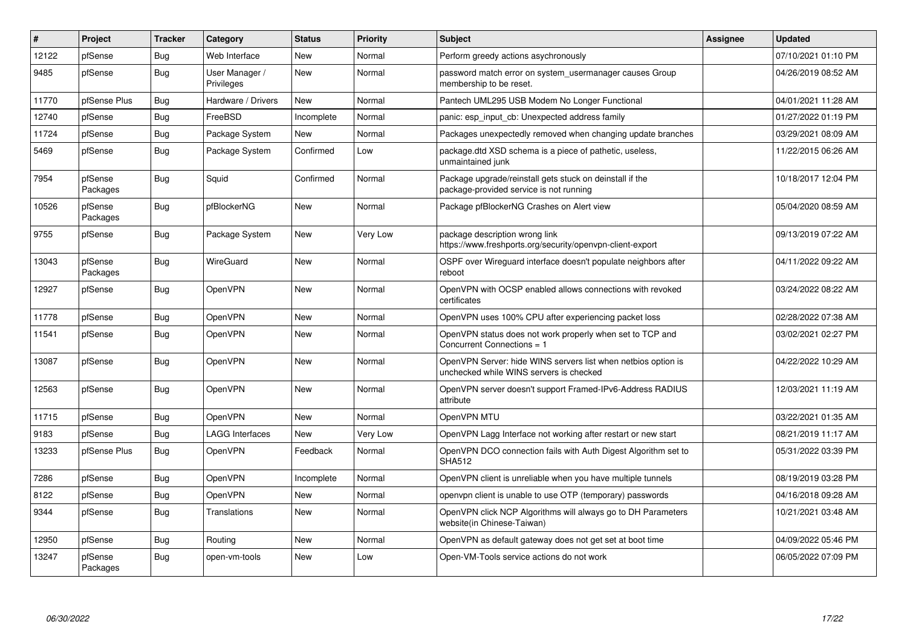| $\vert$ # | Project             | <b>Tracker</b> | Category                     | <b>Status</b> | <b>Priority</b> | <b>Subject</b>                                                                                           | <b>Assignee</b> | <b>Updated</b>      |
|-----------|---------------------|----------------|------------------------------|---------------|-----------------|----------------------------------------------------------------------------------------------------------|-----------------|---------------------|
| 12122     | pfSense             | Bug            | Web Interface                | New           | Normal          | Perform greedy actions asychronously                                                                     |                 | 07/10/2021 01:10 PM |
| 9485      | pfSense             | <b>Bug</b>     | User Manager /<br>Privileges | <b>New</b>    | Normal          | password match error on system usermanager causes Group<br>membership to be reset.                       |                 | 04/26/2019 08:52 AM |
| 11770     | pfSense Plus        | Bug            | Hardware / Drivers           | <b>New</b>    | Normal          | Pantech UML295 USB Modem No Longer Functional                                                            |                 | 04/01/2021 11:28 AM |
| 12740     | pfSense             | <b>Bug</b>     | FreeBSD                      | Incomplete    | Normal          | panic: esp input cb: Unexpected address family                                                           |                 | 01/27/2022 01:19 PM |
| 11724     | pfSense             | <b>Bug</b>     | Package System               | <b>New</b>    | Normal          | Packages unexpectedly removed when changing update branches                                              |                 | 03/29/2021 08:09 AM |
| 5469      | pfSense             | <b>Bug</b>     | Package System               | Confirmed     | Low             | package.dtd XSD schema is a piece of pathetic, useless,<br>unmaintained junk                             |                 | 11/22/2015 06:26 AM |
| 7954      | pfSense<br>Packages | <b>Bug</b>     | Squid                        | Confirmed     | Normal          | Package upgrade/reinstall gets stuck on deinstall if the<br>package-provided service is not running      |                 | 10/18/2017 12:04 PM |
| 10526     | pfSense<br>Packages | <b>Bug</b>     | pfBlockerNG                  | <b>New</b>    | Normal          | Package pfBlockerNG Crashes on Alert view                                                                |                 | 05/04/2020 08:59 AM |
| 9755      | pfSense             | Bug            | Package System               | <b>New</b>    | Very Low        | package description wrong link<br>https://www.freshports.org/security/openvpn-client-export              |                 | 09/13/2019 07:22 AM |
| 13043     | pfSense<br>Packages | <b>Bug</b>     | <b>WireGuard</b>             | <b>New</b>    | Normal          | OSPF over Wireguard interface doesn't populate neighbors after<br>reboot                                 |                 | 04/11/2022 09:22 AM |
| 12927     | pfSense             | Bug            | OpenVPN                      | <b>New</b>    | Normal          | OpenVPN with OCSP enabled allows connections with revoked<br>certificates                                |                 | 03/24/2022 08:22 AM |
| 11778     | pfSense             | Bug            | <b>OpenVPN</b>               | New           | Normal          | OpenVPN uses 100% CPU after experiencing packet loss                                                     |                 | 02/28/2022 07:38 AM |
| 11541     | pfSense             | Bug            | OpenVPN                      | <b>New</b>    | Normal          | OpenVPN status does not work properly when set to TCP and<br>Concurrent Connections = 1                  |                 | 03/02/2021 02:27 PM |
| 13087     | pfSense             | <b>Bug</b>     | <b>OpenVPN</b>               | <b>New</b>    | Normal          | OpenVPN Server: hide WINS servers list when netbios option is<br>unchecked while WINS servers is checked |                 | 04/22/2022 10:29 AM |
| 12563     | pfSense             | Bug            | <b>OpenVPN</b>               | New           | Normal          | OpenVPN server doesn't support Framed-IPv6-Address RADIUS<br>attribute                                   |                 | 12/03/2021 11:19 AM |
| 11715     | pfSense             | <b>Bug</b>     | OpenVPN                      | <b>New</b>    | Normal          | OpenVPN MTU                                                                                              |                 | 03/22/2021 01:35 AM |
| 9183      | pfSense             | Bug            | LAGG Interfaces              | New           | Very Low        | OpenVPN Lagg Interface not working after restart or new start                                            |                 | 08/21/2019 11:17 AM |
| 13233     | pfSense Plus        | Bug            | <b>OpenVPN</b>               | Feedback      | Normal          | OpenVPN DCO connection fails with Auth Digest Algorithm set to<br><b>SHA512</b>                          |                 | 05/31/2022 03:39 PM |
| 7286      | pfSense             | Bug            | <b>OpenVPN</b>               | Incomplete    | Normal          | OpenVPN client is unreliable when you have multiple tunnels                                              |                 | 08/19/2019 03:28 PM |
| 8122      | pfSense             | Bug            | <b>OpenVPN</b>               | <b>New</b>    | Normal          | openvpn client is unable to use OTP (temporary) passwords                                                |                 | 04/16/2018 09:28 AM |
| 9344      | pfSense             | Bug            | Translations                 | <b>New</b>    | Normal          | OpenVPN click NCP Algorithms will always go to DH Parameters<br>website(in Chinese-Taiwan)               |                 | 10/21/2021 03:48 AM |
| 12950     | pfSense             | <b>Bug</b>     | Routing                      | <b>New</b>    | Normal          | OpenVPN as default gateway does not get set at boot time                                                 |                 | 04/09/2022 05:46 PM |
| 13247     | pfSense<br>Packages | Bug            | open-vm-tools                | <b>New</b>    | Low             | Open-VM-Tools service actions do not work                                                                |                 | 06/05/2022 07:09 PM |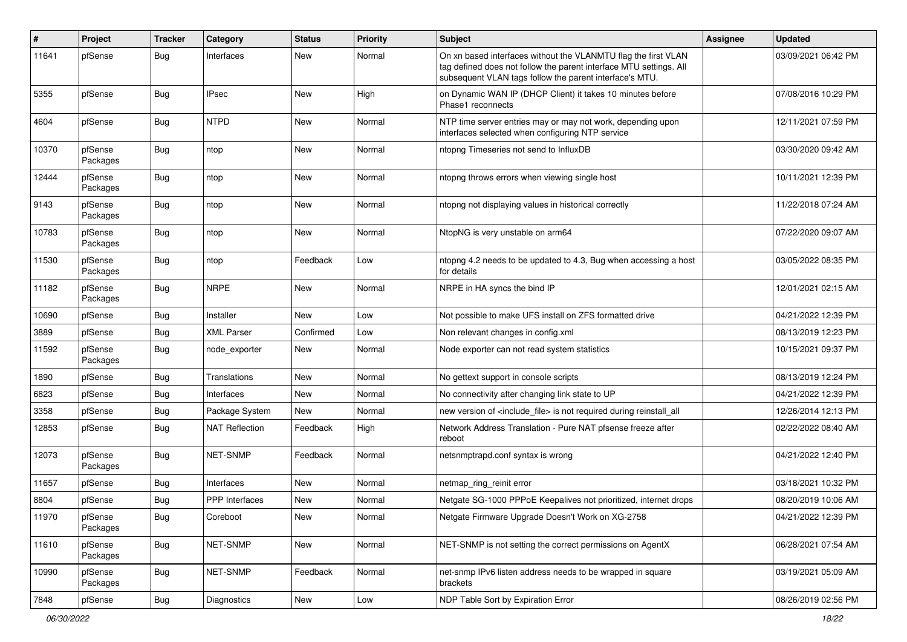| #     | Project             | <b>Tracker</b> | Category              | <b>Status</b> | <b>Priority</b> | Subject                                                                                                                                                                                         | <b>Assignee</b> | <b>Updated</b>      |
|-------|---------------------|----------------|-----------------------|---------------|-----------------|-------------------------------------------------------------------------------------------------------------------------------------------------------------------------------------------------|-----------------|---------------------|
| 11641 | pfSense             | Bug            | Interfaces            | New           | Normal          | On xn based interfaces without the VLANMTU flag the first VLAN<br>tag defined does not follow the parent interface MTU settings. All<br>subsequent VLAN tags follow the parent interface's MTU. |                 | 03/09/2021 06:42 PM |
| 5355  | pfSense             | Bug            | IPsec                 | <b>New</b>    | High            | on Dynamic WAN IP (DHCP Client) it takes 10 minutes before<br>Phase1 reconnects                                                                                                                 |                 | 07/08/2016 10:29 PM |
| 4604  | pfSense             | <b>Bug</b>     | <b>NTPD</b>           | <b>New</b>    | Normal          | NTP time server entries may or may not work, depending upon<br>interfaces selected when configuring NTP service                                                                                 |                 | 12/11/2021 07:59 PM |
| 10370 | pfSense<br>Packages | <b>Bug</b>     | ntop                  | <b>New</b>    | Normal          | ntopng Timeseries not send to InfluxDB                                                                                                                                                          |                 | 03/30/2020 09:42 AM |
| 12444 | pfSense<br>Packages | <b>Bug</b>     | ntop                  | New           | Normal          | ntopng throws errors when viewing single host                                                                                                                                                   |                 | 10/11/2021 12:39 PM |
| 9143  | pfSense<br>Packages | <b>Bug</b>     | ntop                  | <b>New</b>    | Normal          | ntopng not displaying values in historical correctly                                                                                                                                            |                 | 11/22/2018 07:24 AM |
| 10783 | pfSense<br>Packages | <b>Bug</b>     | ntop                  | <b>New</b>    | Normal          | NtopNG is very unstable on arm64                                                                                                                                                                |                 | 07/22/2020 09:07 AM |
| 11530 | pfSense<br>Packages | <b>Bug</b>     | ntop                  | Feedback      | Low             | ntopng 4.2 needs to be updated to 4.3, Bug when accessing a host<br>for details                                                                                                                 |                 | 03/05/2022 08:35 PM |
| 11182 | pfSense<br>Packages | <b>Bug</b>     | <b>NRPE</b>           | <b>New</b>    | Normal          | NRPE in HA syncs the bind IP                                                                                                                                                                    |                 | 12/01/2021 02:15 AM |
| 10690 | pfSense             | Bug            | Installer             | <b>New</b>    | Low             | Not possible to make UFS install on ZFS formatted drive                                                                                                                                         |                 | 04/21/2022 12:39 PM |
| 3889  | pfSense             | Bug            | <b>XML Parser</b>     | Confirmed     | Low             | Non relevant changes in config.xml                                                                                                                                                              |                 | 08/13/2019 12:23 PM |
| 11592 | pfSense<br>Packages | <b>Bug</b>     | node exporter         | New           | Normal          | Node exporter can not read system statistics                                                                                                                                                    |                 | 10/15/2021 09:37 PM |
| 1890  | pfSense             | <b>Bug</b>     | <b>Translations</b>   | <b>New</b>    | Normal          | No gettext support in console scripts                                                                                                                                                           |                 | 08/13/2019 12:24 PM |
| 6823  | pfSense             | Bug            | Interfaces            | New           | Normal          | No connectivity after changing link state to UP                                                                                                                                                 |                 | 04/21/2022 12:39 PM |
| 3358  | pfSense             | Bug            | Package System        | New           | Normal          | new version of <include file=""> is not required during reinstall all</include>                                                                                                                 |                 | 12/26/2014 12:13 PM |
| 12853 | pfSense             | <b>Bug</b>     | <b>NAT Reflection</b> | Feedback      | High            | Network Address Translation - Pure NAT pfsense freeze after<br>reboot                                                                                                                           |                 | 02/22/2022 08:40 AM |
| 12073 | pfSense<br>Packages | <b>Bug</b>     | NET-SNMP              | Feedback      | Normal          | netsnmptrapd.conf syntax is wrong                                                                                                                                                               |                 | 04/21/2022 12:40 PM |
| 11657 | pfSense             | <b>Bug</b>     | Interfaces            | <b>New</b>    | Normal          | netmap ring reinit error                                                                                                                                                                        |                 | 03/18/2021 10:32 PM |
| 8804  | pfSense             | Bug            | PPP Interfaces        | <b>New</b>    | Normal          | Netgate SG-1000 PPPoE Keepalives not prioritized, internet drops                                                                                                                                |                 | 08/20/2019 10:06 AM |
| 11970 | pfSense<br>Packages | Bug            | Coreboot              | New           | Normal          | Netgate Firmware Upgrade Doesn't Work on XG-2758                                                                                                                                                |                 | 04/21/2022 12:39 PM |
| 11610 | pfSense<br>Packages | <b>Bug</b>     | NET-SNMP              | New           | Normal          | NET-SNMP is not setting the correct permissions on AgentX                                                                                                                                       |                 | 06/28/2021 07:54 AM |
| 10990 | pfSense<br>Packages | <b>Bug</b>     | NET-SNMP              | Feedback      | Normal          | net-snmp IPv6 listen address needs to be wrapped in square<br>brackets                                                                                                                          |                 | 03/19/2021 05:09 AM |
| 7848  | pfSense             | <b>Bug</b>     | Diagnostics           | New           | Low             | NDP Table Sort by Expiration Error                                                                                                                                                              |                 | 08/26/2019 02:56 PM |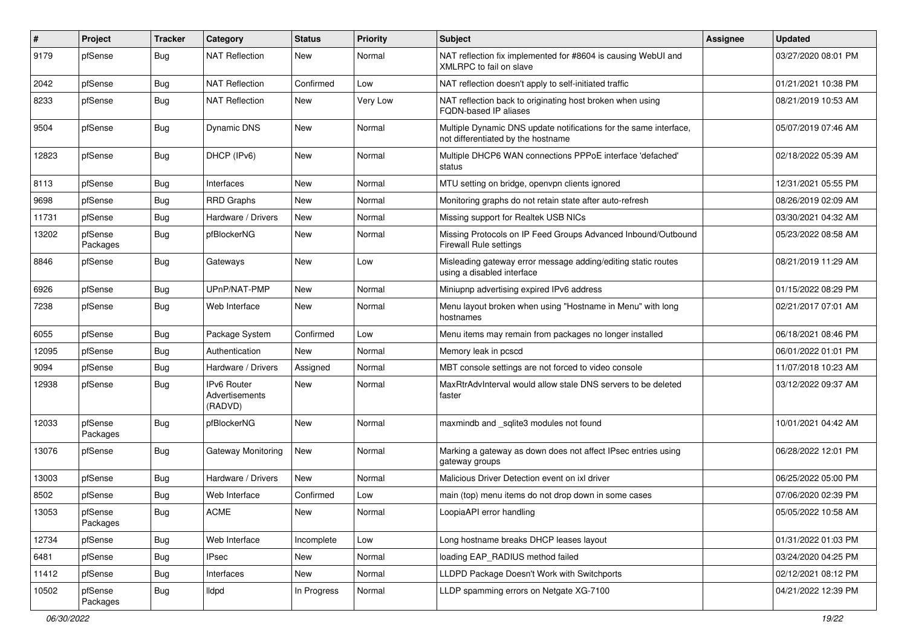| ∦     | Project             | <b>Tracker</b> | Category                                        | <b>Status</b> | <b>Priority</b> | Subject                                                                                                 | Assignee | <b>Updated</b>      |
|-------|---------------------|----------------|-------------------------------------------------|---------------|-----------------|---------------------------------------------------------------------------------------------------------|----------|---------------------|
| 9179  | pfSense             | <b>Bug</b>     | <b>NAT Reflection</b>                           | New           | Normal          | NAT reflection fix implemented for #8604 is causing WebUI and<br>XMLRPC to fail on slave                |          | 03/27/2020 08:01 PM |
| 2042  | pfSense             | <b>Bug</b>     | <b>NAT Reflection</b>                           | Confirmed     | Low             | NAT reflection doesn't apply to self-initiated traffic                                                  |          | 01/21/2021 10:38 PM |
| 8233  | pfSense             | <b>Bug</b>     | <b>NAT Reflection</b>                           | New           | Very Low        | NAT reflection back to originating host broken when using<br><b>FQDN-based IP aliases</b>               |          | 08/21/2019 10:53 AM |
| 9504  | pfSense             | <b>Bug</b>     | <b>Dynamic DNS</b>                              | New           | Normal          | Multiple Dynamic DNS update notifications for the same interface,<br>not differentiated by the hostname |          | 05/07/2019 07:46 AM |
| 12823 | pfSense             | <b>Bug</b>     | DHCP (IPv6)                                     | <b>New</b>    | Normal          | Multiple DHCP6 WAN connections PPPoE interface 'defached'<br>status                                     |          | 02/18/2022 05:39 AM |
| 8113  | pfSense             | <b>Bug</b>     | Interfaces                                      | New           | Normal          | MTU setting on bridge, openvpn clients ignored                                                          |          | 12/31/2021 05:55 PM |
| 9698  | pfSense             | <b>Bug</b>     | <b>RRD Graphs</b>                               | <b>New</b>    | Normal          | Monitoring graphs do not retain state after auto-refresh                                                |          | 08/26/2019 02:09 AM |
| 11731 | pfSense             | Bug            | Hardware / Drivers                              | New           | Normal          | Missing support for Realtek USB NICs                                                                    |          | 03/30/2021 04:32 AM |
| 13202 | pfSense<br>Packages | <b>Bug</b>     | pfBlockerNG                                     | <b>New</b>    | Normal          | Missing Protocols on IP Feed Groups Advanced Inbound/Outbound<br>Firewall Rule settings                 |          | 05/23/2022 08:58 AM |
| 8846  | pfSense             | <b>Bug</b>     | Gateways                                        | New           | Low             | Misleading gateway error message adding/editing static routes<br>using a disabled interface             |          | 08/21/2019 11:29 AM |
| 6926  | pfSense             | <b>Bug</b>     | UPnP/NAT-PMP                                    | New           | Normal          | Miniupnp advertising expired IPv6 address                                                               |          | 01/15/2022 08:29 PM |
| 7238  | pfSense             | <b>Bug</b>     | Web Interface                                   | New           | Normal          | Menu layout broken when using "Hostname in Menu" with long<br>hostnames                                 |          | 02/21/2017 07:01 AM |
| 6055  | pfSense             | Bug            | Package System                                  | Confirmed     | Low             | Menu items may remain from packages no longer installed                                                 |          | 06/18/2021 08:46 PM |
| 12095 | pfSense             | <b>Bug</b>     | Authentication                                  | <b>New</b>    | Normal          | Memory leak in pcscd                                                                                    |          | 06/01/2022 01:01 PM |
| 9094  | pfSense             | <b>Bug</b>     | Hardware / Drivers                              | Assigned      | Normal          | MBT console settings are not forced to video console                                                    |          | 11/07/2018 10:23 AM |
| 12938 | pfSense             | Bug            | <b>IPv6 Router</b><br>Advertisements<br>(RADVD) | New           | Normal          | MaxRtrAdvInterval would allow stale DNS servers to be deleted<br>faster                                 |          | 03/12/2022 09:37 AM |
| 12033 | pfSense<br>Packages | <b>Bug</b>     | pfBlockerNG                                     | New           | Normal          | maxmindb and _sqlite3 modules not found                                                                 |          | 10/01/2021 04:42 AM |
| 13076 | pfSense             | <b>Bug</b>     | Gateway Monitoring                              | <b>New</b>    | Normal          | Marking a gateway as down does not affect IPsec entries using<br>gateway groups                         |          | 06/28/2022 12:01 PM |
| 13003 | pfSense             | <b>Bug</b>     | Hardware / Drivers                              | New           | Normal          | Malicious Driver Detection event on ixl driver                                                          |          | 06/25/2022 05:00 PM |
| 8502  | pfSense             | <b>Bug</b>     | Web Interface                                   | Confirmed     | Low             | main (top) menu items do not drop down in some cases                                                    |          | 07/06/2020 02:39 PM |
| 13053 | pfSense<br>Packages | <b>Bug</b>     | $\mathsf{ACME}$                                 | New           | Normal          | LoopiaAPI error handling                                                                                |          | 05/05/2022 10:58 AM |
| 12734 | pfSense             | Bug            | Web Interface                                   | Incomplete    | Low             | Long hostname breaks DHCP leases layout                                                                 |          | 01/31/2022 01:03 PM |
| 6481  | pfSense             | <b>Bug</b>     | <b>IPsec</b>                                    | New           | Normal          | loading EAP_RADIUS method failed                                                                        |          | 03/24/2020 04:25 PM |
| 11412 | pfSense             | <b>Bug</b>     | Interfaces                                      | New           | Normal          | LLDPD Package Doesn't Work with Switchports                                                             |          | 02/12/2021 08:12 PM |
| 10502 | pfSense<br>Packages | <b>Bug</b>     | lldpd                                           | In Progress   | Normal          | LLDP spamming errors on Netgate XG-7100                                                                 |          | 04/21/2022 12:39 PM |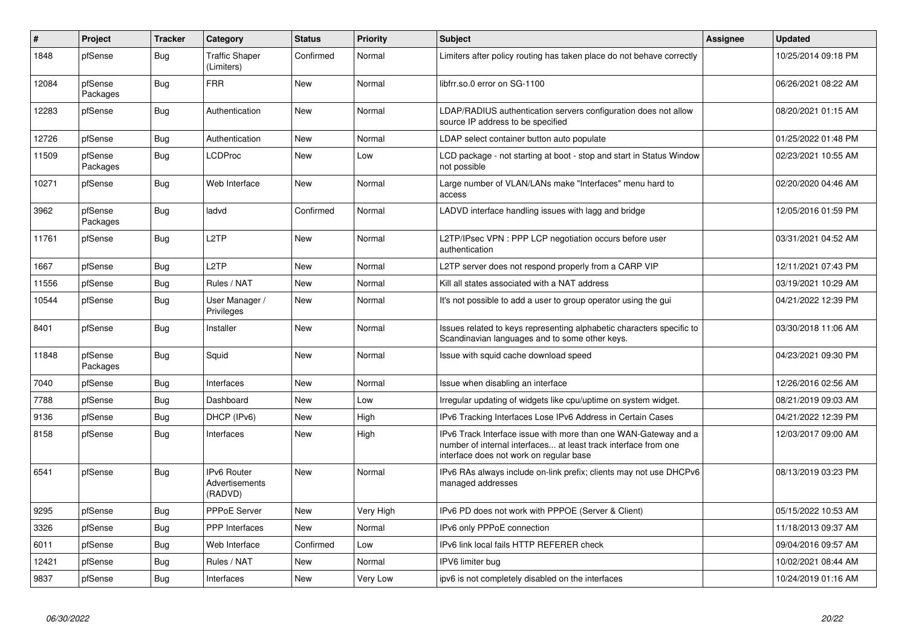| $\vert$ # | Project             | <b>Tracker</b> | Category                                        | <b>Status</b> | <b>Priority</b> | <b>Subject</b>                                                                                                                                                                | <b>Assignee</b> | <b>Updated</b>      |
|-----------|---------------------|----------------|-------------------------------------------------|---------------|-----------------|-------------------------------------------------------------------------------------------------------------------------------------------------------------------------------|-----------------|---------------------|
| 1848      | pfSense             | <b>Bug</b>     | <b>Traffic Shaper</b><br>(Limiters)             | Confirmed     | Normal          | Limiters after policy routing has taken place do not behave correctly                                                                                                         |                 | 10/25/2014 09:18 PM |
| 12084     | pfSense<br>Packages | Bug            | <b>FRR</b>                                      | <b>New</b>    | Normal          | libfrr.so.0 error on SG-1100                                                                                                                                                  |                 | 06/26/2021 08:22 AM |
| 12283     | pfSense             | <b>Bug</b>     | Authentication                                  | <b>New</b>    | Normal          | LDAP/RADIUS authentication servers configuration does not allow<br>source IP address to be specified                                                                          |                 | 08/20/2021 01:15 AM |
| 12726     | pfSense             | Bug            | Authentication                                  | <b>New</b>    | Normal          | LDAP select container button auto populate                                                                                                                                    |                 | 01/25/2022 01:48 PM |
| 11509     | pfSense<br>Packages | Bug            | LCDProc                                         | <b>New</b>    | Low             | LCD package - not starting at boot - stop and start in Status Window<br>not possible                                                                                          |                 | 02/23/2021 10:55 AM |
| 10271     | pfSense             | Bug            | Web Interface                                   | <b>New</b>    | Normal          | Large number of VLAN/LANs make "Interfaces" menu hard to<br>access                                                                                                            |                 | 02/20/2020 04:46 AM |
| 3962      | pfSense<br>Packages | <b>Bug</b>     | ladvd                                           | Confirmed     | Normal          | LADVD interface handling issues with lagg and bridge                                                                                                                          |                 | 12/05/2016 01:59 PM |
| 11761     | pfSense             | Bug            | L <sub>2</sub> TP                               | <b>New</b>    | Normal          | L2TP/IPsec VPN : PPP LCP negotiation occurs before user<br>authentication                                                                                                     |                 | 03/31/2021 04:52 AM |
| 1667      | pfSense             | Bug            | L <sub>2</sub> TP                               | <b>New</b>    | Normal          | L2TP server does not respond properly from a CARP VIP                                                                                                                         |                 | 12/11/2021 07:43 PM |
| 11556     | pfSense             | <b>Bug</b>     | Rules / NAT                                     | <b>New</b>    | Normal          | Kill all states associated with a NAT address                                                                                                                                 |                 | 03/19/2021 10:29 AM |
| 10544     | pfSense             | <b>Bug</b>     | User Manager /<br>Privileges                    | <b>New</b>    | Normal          | It's not possible to add a user to group operator using the gui                                                                                                               |                 | 04/21/2022 12:39 PM |
| 8401      | pfSense             | Bug            | Installer                                       | <b>New</b>    | Normal          | Issues related to keys representing alphabetic characters specific to<br>Scandinavian languages and to some other keys.                                                       |                 | 03/30/2018 11:06 AM |
| 11848     | pfSense<br>Packages | Bug            | Squid                                           | <b>New</b>    | Normal          | Issue with squid cache download speed                                                                                                                                         |                 | 04/23/2021 09:30 PM |
| 7040      | pfSense             | <b>Bug</b>     | Interfaces                                      | <b>New</b>    | Normal          | Issue when disabling an interface                                                                                                                                             |                 | 12/26/2016 02:56 AM |
| 7788      | pfSense             | <b>Bug</b>     | Dashboard                                       | <b>New</b>    | Low             | Irregular updating of widgets like cpu/uptime on system widget.                                                                                                               |                 | 08/21/2019 09:03 AM |
| 9136      | pfSense             | <b>Bug</b>     | DHCP (IPv6)                                     | <b>New</b>    | High            | IPv6 Tracking Interfaces Lose IPv6 Address in Certain Cases                                                                                                                   |                 | 04/21/2022 12:39 PM |
| 8158      | pfSense             | Bug            | Interfaces                                      | <b>New</b>    | High            | IPv6 Track Interface issue with more than one WAN-Gateway and a<br>number of internal interfaces at least track interface from one<br>interface does not work on regular base |                 | 12/03/2017 09:00 AM |
| 6541      | pfSense             | Bug            | <b>IPv6 Router</b><br>Advertisements<br>(RADVD) | <b>New</b>    | Normal          | IPv6 RAs always include on-link prefix; clients may not use DHCPv6<br>managed addresses                                                                                       |                 | 08/13/2019 03:23 PM |
| 9295      | pfSense             | <b>Bug</b>     | <b>PPPoE Server</b>                             | <b>New</b>    | Very High       | IPv6 PD does not work with PPPOE (Server & Client)                                                                                                                            |                 | 05/15/2022 10:53 AM |
| 3326      | pfSense             | Bug            | <b>PPP</b> Interfaces                           | <b>New</b>    | Normal          | IPv6 only PPPoE connection                                                                                                                                                    |                 | 11/18/2013 09:37 AM |
| 6011      | pfSense             | Bug            | Web Interface                                   | Confirmed     | Low             | IPv6 link local fails HTTP REFERER check                                                                                                                                      |                 | 09/04/2016 09:57 AM |
| 12421     | pfSense             | Bug            | Rules / NAT                                     | <b>New</b>    | Normal          | IPV6 limiter bug                                                                                                                                                              |                 | 10/02/2021 08:44 AM |
| 9837      | pfSense             | <b>Bug</b>     | Interfaces                                      | <b>New</b>    | Very Low        | ipv6 is not completely disabled on the interfaces                                                                                                                             |                 | 10/24/2019 01:16 AM |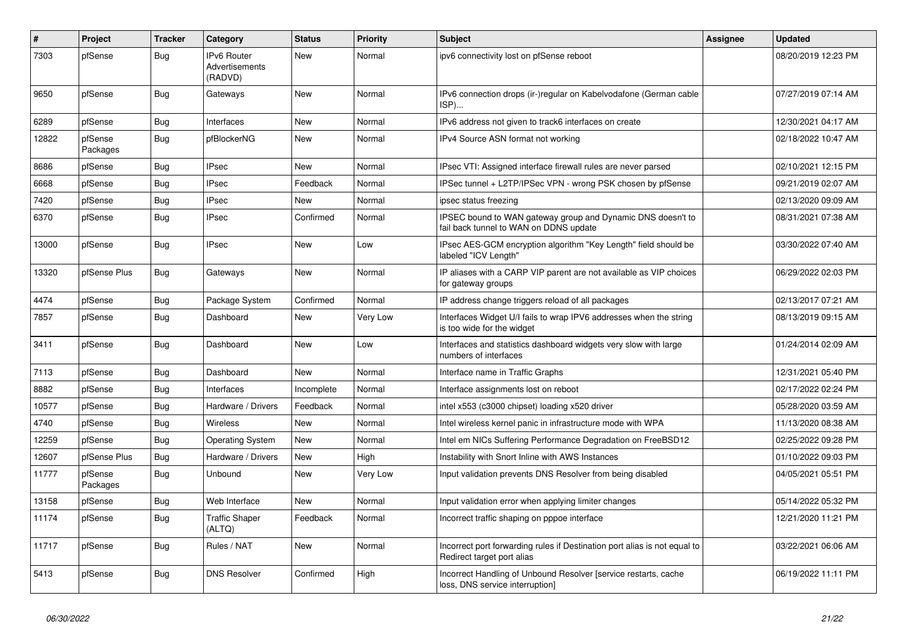| $\pmb{\#}$ | Project             | <b>Tracker</b> | Category                                 | <b>Status</b> | <b>Priority</b> | <b>Subject</b>                                                                                          | <b>Assignee</b> | <b>Updated</b>      |
|------------|---------------------|----------------|------------------------------------------|---------------|-----------------|---------------------------------------------------------------------------------------------------------|-----------------|---------------------|
| 7303       | pfSense             | <b>Bug</b>     | IPv6 Router<br>Advertisements<br>(RADVD) | <b>New</b>    | Normal          | ipv6 connectivity lost on pfSense reboot                                                                |                 | 08/20/2019 12:23 PM |
| 9650       | pfSense             | Bug            | Gateways                                 | <b>New</b>    | Normal          | IPv6 connection drops (ir-)regular on Kabelvodafone (German cable<br>ISP)                               |                 | 07/27/2019 07:14 AM |
| 6289       | pfSense             | Bug            | Interfaces                               | <b>New</b>    | Normal          | IPv6 address not given to track6 interfaces on create                                                   |                 | 12/30/2021 04:17 AM |
| 12822      | pfSense<br>Packages | Bug            | pfBlockerNG                              | <b>New</b>    | Normal          | IPv4 Source ASN format not working                                                                      |                 | 02/18/2022 10:47 AM |
| 8686       | pfSense             | Bug            | <b>IPsec</b>                             | New           | Normal          | IPsec VTI: Assigned interface firewall rules are never parsed                                           |                 | 02/10/2021 12:15 PM |
| 6668       | pfSense             | Bug            | <b>IPsec</b>                             | Feedback      | Normal          | IPSec tunnel + L2TP/IPSec VPN - wrong PSK chosen by pfSense                                             |                 | 09/21/2019 02:07 AM |
| 7420       | pfSense             | <b>Bug</b>     | <b>IPsec</b>                             | <b>New</b>    | Normal          | ipsec status freezing                                                                                   |                 | 02/13/2020 09:09 AM |
| 6370       | pfSense             | <b>Bug</b>     | <b>IPsec</b>                             | Confirmed     | Normal          | IPSEC bound to WAN gateway group and Dynamic DNS doesn't to<br>fail back tunnel to WAN on DDNS update   |                 | 08/31/2021 07:38 AM |
| 13000      | pfSense             | <b>Bug</b>     | <b>IPsec</b>                             | New           | Low             | IPsec AES-GCM encryption algorithm "Key Length" field should be<br>labeled "ICV Length"                 |                 | 03/30/2022 07:40 AM |
| 13320      | pfSense Plus        | <b>Bug</b>     | Gateways                                 | <b>New</b>    | Normal          | IP aliases with a CARP VIP parent are not available as VIP choices<br>for gateway groups                |                 | 06/29/2022 02:03 PM |
| 4474       | pfSense             | Bug            | Package System                           | Confirmed     | Normal          | IP address change triggers reload of all packages                                                       |                 | 02/13/2017 07:21 AM |
| 7857       | pfSense             | <b>Bug</b>     | Dashboard                                | New           | Very Low        | Interfaces Widget U/I fails to wrap IPV6 addresses when the string<br>is too wide for the widget        |                 | 08/13/2019 09:15 AM |
| 3411       | pfSense             | <b>Bug</b>     | Dashboard                                | New           | Low             | Interfaces and statistics dashboard widgets very slow with large<br>numbers of interfaces               |                 | 01/24/2014 02:09 AM |
| 7113       | pfSense             | Bug            | Dashboard                                | <b>New</b>    | Normal          | Interface name in Traffic Graphs                                                                        |                 | 12/31/2021 05:40 PM |
| 8882       | pfSense             | Bug            | Interfaces                               | Incomplete    | Normal          | Interface assignments lost on reboot                                                                    |                 | 02/17/2022 02:24 PM |
| 10577      | pfSense             | <b>Bug</b>     | Hardware / Drivers                       | Feedback      | Normal          | intel x553 (c3000 chipset) loading x520 driver                                                          |                 | 05/28/2020 03:59 AM |
| 4740       | pfSense             | <b>Bug</b>     | Wireless                                 | New           | Normal          | Intel wireless kernel panic in infrastructure mode with WPA                                             |                 | 11/13/2020 08:38 AM |
| 12259      | pfSense             | <b>Bug</b>     | <b>Operating System</b>                  | New           | Normal          | Intel em NICs Suffering Performance Degradation on FreeBSD12                                            |                 | 02/25/2022 09:28 PM |
| 12607      | pfSense Plus        | Bug            | Hardware / Drivers                       | New           | High            | Instability with Snort Inline with AWS Instances                                                        |                 | 01/10/2022 09:03 PM |
| 11777      | pfSense<br>Packages | Bug            | Unbound                                  | New           | Very Low        | Input validation prevents DNS Resolver from being disabled                                              |                 | 04/05/2021 05:51 PM |
| 13158      | pfSense             | <b>Bug</b>     | Web Interface                            | <b>New</b>    | Normal          | Input validation error when applying limiter changes                                                    |                 | 05/14/2022 05:32 PM |
| 11174      | pfSense             | Bug            | <b>Traffic Shaper</b><br>(ALTQ)          | Feedback      | Normal          | Incorrect traffic shaping on pppoe interface                                                            |                 | 12/21/2020 11:21 PM |
| 11717      | pfSense             | Bug            | Rules / NAT                              | New           | Normal          | Incorrect port forwarding rules if Destination port alias is not equal to<br>Redirect target port alias |                 | 03/22/2021 06:06 AM |
| 5413       | pfSense             | <b>Bug</b>     | <b>DNS Resolver</b>                      | Confirmed     | High            | Incorrect Handling of Unbound Resolver [service restarts, cache<br>loss, DNS service interruption]      |                 | 06/19/2022 11:11 PM |